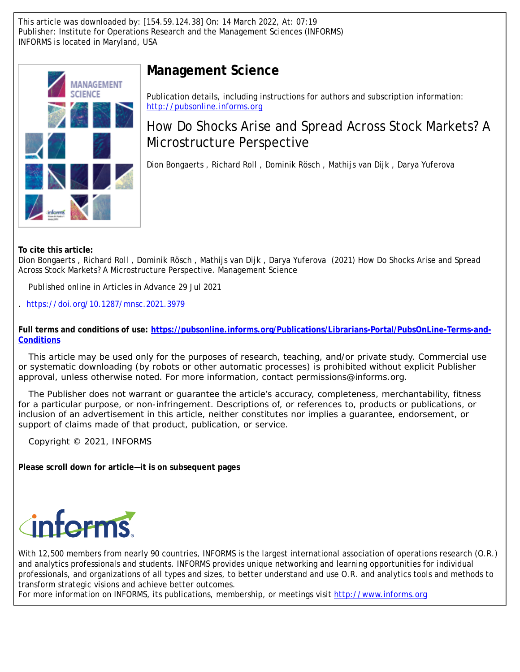This article was downloaded by: [154.59.124.38] On: 14 March 2022, At: 07:19 Publisher: Institute for Operations Research and the Management Sciences (INFORMS) INFORMS is located in Maryland, USA



# **Management Science**

Publication details, including instructions for authors and subscription information: <http://pubsonline.informs.org>

# How Do Shocks Arise and Spread Across Stock Markets? A Microstructure Perspective

Dion Bongaerts , Richard Roll , Dominik Rösch , Mathijs van Dijk , Darya Yuferova

**To cite this article:**

Dion Bongaerts , Richard Roll , Dominik Rösch , Mathijs van Dijk , Darya Yuferova (2021) How Do Shocks Arise and Spread Across Stock Markets? A Microstructure Perspective. Management Science

Published online in Articles in Advance 29 Jul 2021

. <https://doi.org/10.1287/mnsc.2021.3979>

**Full terms and conditions of use: [https://pubsonline.informs.org/Publications/Librarians-Portal/PubsOnLine-Terms-and-](https://pubsonline.informs.org/Publications/Librarians-Portal/PubsOnLine-Terms-and-Conditions)[Conditions](https://pubsonline.informs.org/Publications/Librarians-Portal/PubsOnLine-Terms-and-Conditions)**

This article may be used only for the purposes of research, teaching, and/or private study. Commercial use or systematic downloading (by robots or other automatic processes) is prohibited without explicit Publisher approval, unless otherwise noted. For more information, contact permissions@informs.org.

The Publisher does not warrant or guarantee the article's accuracy, completeness, merchantability, fitness for a particular purpose, or non-infringement. Descriptions of, or references to, products or publications, or inclusion of an advertisement in this article, neither constitutes nor implies a guarantee, endorsement, or support of claims made of that product, publication, or service.

Copyright © 2021, INFORMS

**Please scroll down for article—it is on subsequent pages**



With 12,500 members from nearly 90 countries, INFORMS is the largest international association of operations research (O.R.) and analytics professionals and students. INFORMS provides unique networking and learning opportunities for individual professionals, and organizations of all types and sizes, to better understand and use O.R. and analytics tools and methods to transform strategic visions and achieve better outcomes.

For more information on INFORMS, its publications, membership, or meetings visit <http://www.informs.org>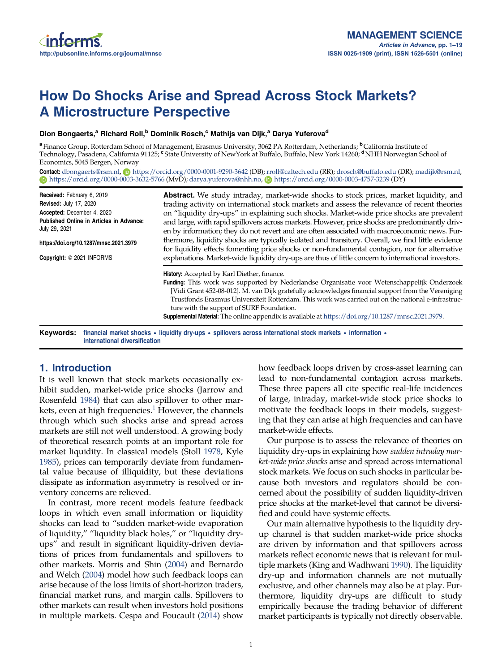# How Do Shocks Arise and Spread Across Stock Markets? A Microstructure Perspective

#### Dion Bongaerts,<sup>a</sup> Richard Roll,<sup>b</sup> Dominik Rösch,<sup>c</sup> Mathijs van Dijk,<sup>a</sup> Darya Yuferova<sup>d</sup>

<sup>a</sup> Finance Group, Rotterdam School of Management, Erasmus University, 3062 PA Rotterdam, Netherlands; <sup>b</sup>California Institute of Technology, Pasadena, California 91125; <sup>e</sup> State University of NewYork at Buffalo, Buffalo, New York 14260; <sup>d</sup>NHH Norwegian School of Economics, 5045 Bergen, Norway

Contact: [dbongaerts@rsm.nl](mailto:dbongaerts@rsm.nl), @ <https://orcid.org/0000-0001-9290-3642> (DB); [rroll@caltech.edu](mailto:rroll@caltech.edu) (RR); [drosch@buffalo.edu](mailto:drosch@buffalo.edu) (DR); [madijk@rsm.nl](mailto:madijk@rsm.nl), <https://orcid.org/0000-0003-3632-5766> (MvD); [darya.yuferova@nhh.no](mailto:darya.yuferova@nhh.no), <https://orcid.org/0000-0003-4757-3239> (DY)

| Received: February 6, 2019                                | <b>Abstract.</b> We study intraday, market-wide shocks to stock prices, market liquidity, and<br>trading activity on international stock markets and assess the relevance of recent theories<br>on "liquidity dry-ups" in explaining such shocks. Market-wide price shocks are prevalent<br>and large, with rapid spillovers across markets. However, price shocks are predominantly driv-<br>en by information; they do not revert and are often associated with macroeconomic news. Fur-<br>thermore, liquidity shocks are typically isolated and transitory. Overall, we find little evidence<br>for liquidity effects fomenting price shocks or non-fundamental contagion, nor for alternative<br>explanations. Market-wide liquidity dry-ups are thus of little concern to international investors.<br>History: Accepted by Karl Diether, finance.<br><b>Funding:</b> This work was supported by Nederlandse Organisatie voor Wetenschappelijk Onderzoek<br>[Vidi Grant 452-08-012]. M. van Dijk gratefully acknowledges financial support from the Vereniging<br>Trustfonds Erasmus Universiteit Rotterdam. This work was carried out on the national e-infrastruc-<br>ture with the support of SURF Foundation.<br><b>Supplemental Material:</b> The online appendix is available at https://doi.org/10.1287/mnsc.2021.3979. |  |  |  |  |  |  |
|-----------------------------------------------------------|-------------------------------------------------------------------------------------------------------------------------------------------------------------------------------------------------------------------------------------------------------------------------------------------------------------------------------------------------------------------------------------------------------------------------------------------------------------------------------------------------------------------------------------------------------------------------------------------------------------------------------------------------------------------------------------------------------------------------------------------------------------------------------------------------------------------------------------------------------------------------------------------------------------------------------------------------------------------------------------------------------------------------------------------------------------------------------------------------------------------------------------------------------------------------------------------------------------------------------------------------------------------------------------------------------------------------------------|--|--|--|--|--|--|
| <b>Revised: July 17, 2020</b>                             |                                                                                                                                                                                                                                                                                                                                                                                                                                                                                                                                                                                                                                                                                                                                                                                                                                                                                                                                                                                                                                                                                                                                                                                                                                                                                                                                     |  |  |  |  |  |  |
| Accepted: December 4, 2020                                |                                                                                                                                                                                                                                                                                                                                                                                                                                                                                                                                                                                                                                                                                                                                                                                                                                                                                                                                                                                                                                                                                                                                                                                                                                                                                                                                     |  |  |  |  |  |  |
| Published Online in Articles in Advance:<br>July 29, 2021 |                                                                                                                                                                                                                                                                                                                                                                                                                                                                                                                                                                                                                                                                                                                                                                                                                                                                                                                                                                                                                                                                                                                                                                                                                                                                                                                                     |  |  |  |  |  |  |
| https://doi.org/10.1287/mnsc.2021.3979                    |                                                                                                                                                                                                                                                                                                                                                                                                                                                                                                                                                                                                                                                                                                                                                                                                                                                                                                                                                                                                                                                                                                                                                                                                                                                                                                                                     |  |  |  |  |  |  |
| Copyright: © 2021 INFORMS                                 |                                                                                                                                                                                                                                                                                                                                                                                                                                                                                                                                                                                                                                                                                                                                                                                                                                                                                                                                                                                                                                                                                                                                                                                                                                                                                                                                     |  |  |  |  |  |  |
|                                                           |                                                                                                                                                                                                                                                                                                                                                                                                                                                                                                                                                                                                                                                                                                                                                                                                                                                                                                                                                                                                                                                                                                                                                                                                                                                                                                                                     |  |  |  |  |  |  |
|                                                           |                                                                                                                                                                                                                                                                                                                                                                                                                                                                                                                                                                                                                                                                                                                                                                                                                                                                                                                                                                                                                                                                                                                                                                                                                                                                                                                                     |  |  |  |  |  |  |
|                                                           |                                                                                                                                                                                                                                                                                                                                                                                                                                                                                                                                                                                                                                                                                                                                                                                                                                                                                                                                                                                                                                                                                                                                                                                                                                                                                                                                     |  |  |  |  |  |  |
|                                                           | Keywords: financial market shocks • liquidity dry-ups • spillovers across international stock markets • information •                                                                                                                                                                                                                                                                                                                                                                                                                                                                                                                                                                                                                                                                                                                                                                                                                                                                                                                                                                                                                                                                                                                                                                                                               |  |  |  |  |  |  |

international diversification

# 1. Introduction

It is well known that stock markets occasionally exhibit sudden, market-wide price shocks (Jarrow and Rosenfeld [1984](#page-18-0)) that can also spillover to other markets, even at high frequencies. $<sup>1</sup>$  $<sup>1</sup>$  $<sup>1</sup>$  However, the channels</sup> through which such shocks arise and spread across markets are still not well understood. A growing body of theoretical research points at an important role for market liquidity. In classical models (Stoll [1978](#page-19-0), Kyle [1985\)](#page-18-0), prices can temporarily deviate from fundamental value because of illiquidity, but these deviations dissipate as information asymmetry is resolved or inventory concerns are relieved.

In contrast, more recent models feature feedback loops in which even small information or liquidity shocks can lead to "sudden market-wide evaporation of liquidity," "liquidity black holes," or "liquidity dryups" and result in significant liquidity-driven deviations of prices from fundamentals and spillovers to other markets. Morris and Shin [\(2004\)](#page-19-0) and Bernardo and Welch [\(2004\)](#page-18-0) model how such feedback loops can arise because of the loss limits of short-horizon traders, financial market runs, and margin calls. Spillovers to other markets can result when investors hold positions in multiple markets. Cespa and Foucault ([2014](#page-18-0)) show how feedback loops driven by cross-asset learning can lead to non-fundamental contagion across markets. These three papers all cite specific real-life incidences of large, intraday, market-wide stock price shocks to motivate the feedback loops in their models, suggesting that they can arise at high frequencies and can have market-wide effects.

Our purpose is to assess the relevance of theories on liquidity dry-ups in explaining how sudden intraday market-wide price shocks arise and spread across international stock markets. We focus on such shocks in particular because both investors and regulators should be concerned about the possibility of sudden liquidity-driven price shocks at the market-level that cannot be diversified and could have systemic effects.

Our main alternative hypothesis to the liquidity dryup channel is that sudden market-wide price shocks are driven by information and that spillovers across markets reflect economic news that is relevant for multiple markets (King and Wadhwani [1990](#page-18-0)). The liquidity dry-up and information channels are not mutually exclusive, and other channels may also be at play. Furthermore, liquidity dry-ups are difficult to study empirically because the trading behavior of different market participants is typically not directly observable.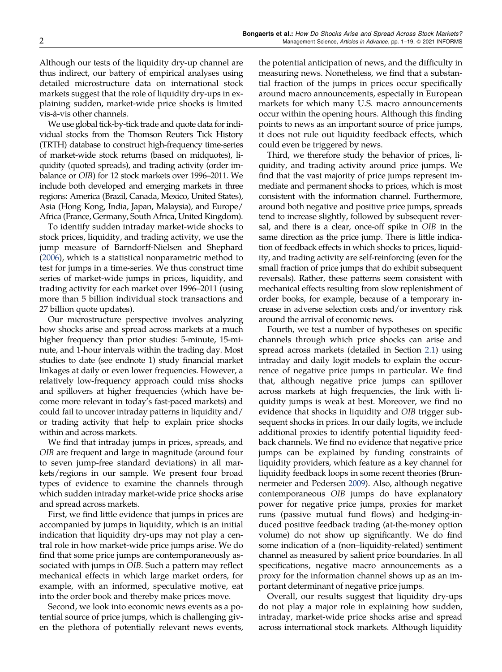Although our tests of the liquidity dry-up channel are thus indirect, our battery of empirical analyses using detailed microstructure data on international stock markets suggest that the role of liquidity dry-ups in explaining sudden, market-wide price shocks is limited vis-a-vis other channels. `

We use global tick-by-tick trade and quote data for individual stocks from the Thomson Reuters Tick History (TRTH) database to construct high-frequency time-series of market-wide stock returns (based on midquotes), liquidity (quoted spreads), and trading activity (order imbalance or OIB) for 12 stock markets over 1996–2011. We include both developed and emerging markets in three regions: America (Brazil, Canada, Mexico, United States), Asia (Hong Kong, India, Japan, Malaysia), and Europe/ Africa (France, Germany, South Africa, United Kingdom).

To identify sudden intraday market-wide shocks to stock prices, liquidity, and trading activity, we use the jump measure of Barndorff-Nielsen and Shephard [\(2006\)](#page-18-0), which is a statistical nonparametric method to test for jumps in a time-series. We thus construct time series of market-wide jumps in prices, liquidity, and trading activity for each market over 1996–2011 (using more than 5 billion individual stock transactions and 27 billion quote updates).

Our microstructure perspective involves analyzing how shocks arise and spread across markets at a much higher frequency than prior studies: 5-minute, 15-minute, and 1-hour intervals within the trading day. Most studies to date (see endnote 1) study financial market linkages at daily or even lower frequencies. However, a relatively low-frequency approach could miss shocks and spillovers at higher frequencies (which have become more relevant in today's fast-paced markets) and could fail to uncover intraday patterns in liquidity and/ or trading activity that help to explain price shocks within and across markets.

We find that intraday jumps in prices, spreads, and OIB are frequent and large in magnitude (around four to seven jump-free standard deviations) in all markets/regions in our sample. We present four broad types of evidence to examine the channels through which sudden intraday market-wide price shocks arise and spread across markets.

First, we find little evidence that jumps in prices are accompanied by jumps in liquidity, which is an initial indication that liquidity dry-ups may not play a central role in how market-wide price jumps arise. We do find that some price jumps are contemporaneously associated with jumps in OIB. Such a pattern may reflect mechanical effects in which large market orders, for example, with an informed, speculative motive, eat into the order book and thereby make prices move.

Second, we look into economic news events as a potential source of price jumps, which is challenging given the plethora of potentially relevant news events, the potential anticipation of news, and the difficulty in measuring news. Nonetheless, we find that a substantial fraction of the jumps in prices occur specifically around macro announcements, especially in European markets for which many U.S. macro announcements occur within the opening hours. Although this finding points to news as an important source of price jumps, it does not rule out liquidity feedback effects, which could even be triggered by news.

Third, we therefore study the behavior of prices, liquidity, and trading activity around price jumps. We find that the vast majority of price jumps represent immediate and permanent shocks to prices, which is most consistent with the information channel. Furthermore, around both negative and positive price jumps, spreads tend to increase slightly, followed by subsequent reversal, and there is a clear, once-off spike in OIB in the same direction as the price jump. There is little indication of feedback effects in which shocks to prices, liquidity, and trading activity are self-reinforcing (even for the small fraction of price jumps that do exhibit subsequent reversals). Rather, these patterns seem consistent with mechanical effects resulting from slow replenishment of order books, for example, because of a temporary increase in adverse selection costs and/or inventory risk around the arrival of economic news.

Fourth, we test a number of hypotheses on specific channels through which price shocks can arise and spread across markets (detailed in Section [2.1\)](#page-3-0) using intraday and daily logit models to explain the occurrence of negative price jumps in particular. We find that, although negative price jumps can spillover across markets at high frequencies, the link with liquidity jumps is weak at best. Moreover, we find no evidence that shocks in liquidity and OIB trigger subsequent shocks in prices. In our daily logits, we include additional proxies to identify potential liquidity feedback channels. We find no evidence that negative price jumps can be explained by funding constraints of liquidity providers, which feature as a key channel for liquidity feedback loops in some recent theories (Brunnermeier and Pedersen [2009\)](#page-18-0). Also, although negative contemporaneous OIB jumps do have explanatory power for negative price jumps, proxies for market runs (passive mutual fund flows) and hedging-induced positive feedback trading (at-the-money option volume) do not show up significantly. We do find some indication of a (non–liquidity-related) sentiment channel as measured by salient price boundaries. In all specifications, negative macro announcements as a proxy for the information channel shows up as an important determinant of negative price jumps.

Overall, our results suggest that liquidity dry-ups do not play a major role in explaining how sudden, intraday, market-wide price shocks arise and spread across international stock markets. Although liquidity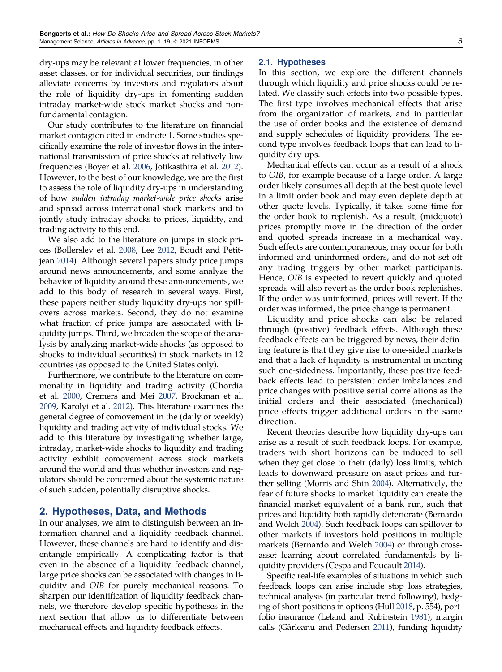<span id="page-3-0"></span>dry-ups may be relevant at lower frequencies, in other asset classes, or for individual securities, our findings alleviate concerns by investors and regulators about the role of liquidity dry-ups in fomenting sudden intraday market-wide stock market shocks and nonfundamental contagion.

Our study contributes to the literature on financial market contagion cited in endnote 1. Some studies specifically examine the role of investor flows in the international transmission of price shocks at relatively low frequencies (Boyer et al. [2006](#page-18-0), Jotikasthira et al. [2012\)](#page-18-0). However, to the best of our knowledge, we are the first to assess the role of liquidity dry-ups in understanding of how sudden intraday market-wide price shocks arise and spread across international stock markets and to jointly study intraday shocks to prices, liquidity, and trading activity to this end.

We also add to the literature on jumps in stock prices (Bollerslev et al. [2008](#page-18-0), Lee [2012](#page-19-0), Boudt and Petitjean [2014\)](#page-18-0). Although several papers study price jumps around news announcements, and some analyze the behavior of liquidity around these announcements, we add to this body of research in several ways. First, these papers neither study liquidity dry-ups nor spillovers across markets. Second, they do not examine what fraction of price jumps are associated with liquidity jumps. Third, we broaden the scope of the analysis by analyzing market-wide shocks (as opposed to shocks to individual securities) in stock markets in 12 countries (as opposed to the United States only).

Furthermore, we contribute to the literature on commonality in liquidity and trading activity (Chordia et al. [2000](#page-18-0), Cremers and Mei [2007](#page-18-0), Brockman et al. [2009,](#page-18-0) Karolyi et al. [2012](#page-18-0)). This literature examines the general degree of comovement in the (daily or weekly) liquidity and trading activity of individual stocks. We add to this literature by investigating whether large, intraday, market-wide shocks to liquidity and trading activity exhibit comovement across stock markets around the world and thus whether investors and regulators should be concerned about the systemic nature of such sudden, potentially disruptive shocks.

# 2. Hypotheses, Data, and Methods

In our analyses, we aim to distinguish between an information channel and a liquidity feedback channel. However, these channels are hard to identify and disentangle empirically. A complicating factor is that even in the absence of a liquidity feedback channel, large price shocks can be associated with changes in liquidity and OIB for purely mechanical reasons. To sharpen our identification of liquidity feedback channels, we therefore develop specific hypotheses in the next section that allow us to differentiate between mechanical effects and liquidity feedback effects.

#### 2.1. Hypotheses

In this section, we explore the different channels through which liquidity and price shocks could be related. We classify such effects into two possible types. The first type involves mechanical effects that arise from the organization of markets, and in particular the use of order books and the existence of demand and supply schedules of liquidity providers. The second type involves feedback loops that can lead to liquidity dry-ups.

Mechanical effects can occur as a result of a shock to OIB, for example because of a large order. A large order likely consumes all depth at the best quote level in a limit order book and may even deplete depth at other quote levels. Typically, it takes some time for the order book to replenish. As a result, (midquote) prices promptly move in the direction of the order and quoted spreads increase in a mechanical way. Such effects are contemporaneous, may occur for both informed and uninformed orders, and do not set off any trading triggers by other market participants. Hence, OIB is expected to revert quickly and quoted spreads will also revert as the order book replenishes. If the order was uninformed, prices will revert. If the order was informed, the price change is permanent.

Liquidity and price shocks can also be related through (positive) feedback effects. Although these feedback effects can be triggered by news, their defining feature is that they give rise to one-sided markets and that a lack of liquidity is instrumental in inciting such one-sidedness. Importantly, these positive feedback effects lead to persistent order imbalances and price changes with positive serial correlations as the initial orders and their associated (mechanical) price effects trigger additional orders in the same direction.

Recent theories describe how liquidity dry-ups can arise as a result of such feedback loops. For example, traders with short horizons can be induced to sell when they get close to their (daily) loss limits, which leads to downward pressure on asset prices and further selling (Morris and Shin [2004](#page-19-0)). Alternatively, the fear of future shocks to market liquidity can create the financial market equivalent of a bank run, such that prices and liquidity both rapidly deteriorate (Bernardo and Welch [2004\)](#page-18-0). Such feedback loops can spillover to other markets if investors hold positions in multiple markets (Bernardo and Welch [2004](#page-18-0)) or through crossasset learning about correlated fundamentals by liquidity providers (Cespa and Foucault [2014](#page-18-0)).

Specific real-life examples of situations in which such feedback loops can arise include stop loss strategies, technical analysis (in particular trend following), hedging of short positions in options (Hull [2018,](#page-18-0) p. 554), portfolio insurance (Leland and Rubinstein [1981](#page-19-0)), margin calls (Gârleanu and Pedersen [2011](#page-18-0)), funding liquidity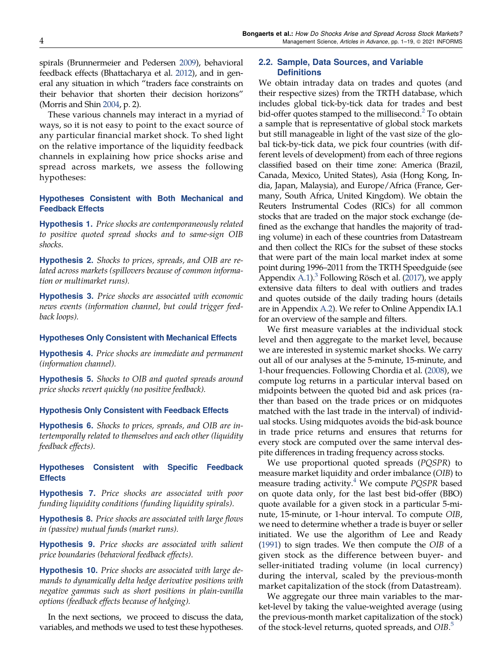<span id="page-4-0"></span>spirals (Brunnermeier and Pedersen [2009](#page-18-0)), behavioral feedback effects (Bhattacharya et al. [2012\)](#page-18-0), and in general any situation in which "traders face constraints on their behavior that shorten their decision horizons" (Morris and Shin [2004](#page-19-0), p. 2).

These various channels may interact in a myriad of ways, so it is not easy to point to the exact source of any particular financial market shock. To shed light on the relative importance of the liquidity feedback channels in explaining how price shocks arise and spread across markets, we assess the following hypotheses:

## Hypotheses Consistent with Both Mechanical and Feedback Effects

Hypothesis 1. Price shocks are contemporaneously related to positive quoted spread shocks and to same-sign OIB shocks.

Hypothesis 2. Shocks to prices, spreads, and OIB are related across markets (spillovers because of common information or multimarket runs).

Hypothesis 3. Price shocks are associated with economic news events (information channel, but could trigger feedback loops).

### Hypotheses Only Consistent with Mechanical Effects

Hypothesis 4. Price shocks are immediate and permanent (information channel).

Hypothesis 5. Shocks to OIB and quoted spreads around price shocks revert quickly (no positive feedback).

#### Hypothesis Only Consistent with Feedback Effects

Hypothesis 6. Shocks to prices, spreads, and OIB are intertemporally related to themselves and each other (liquidity feedback effects).

## Hypotheses Consistent with Specific Feedback **Effects**

**Hypothesis 7.** Price shocks are associated with poor funding liquidity conditions (funding liquidity spirals).

**Hypothesis 8.** Price shocks are associated with large flows in (passive) mutual funds (market runs).

Hypothesis 9. Price shocks are associated with salient price boundaries (behavioral feedback effects).

Hypothesis 10. Price shocks are associated with large demands to dynamically delta hedge derivative positions with negative gammas such as short positions in plain-vanilla options (feedback effects because of hedging).

In the next sections, we proceed to discuss the data, variables, and methods we used to test these hypotheses.

## 2.2. Sample, Data Sources, and Variable **Definitions**

We obtain intraday data on trades and quotes (and their respective sizes) from the TRTH database, which includes global tick-by-tick data for trades and best bid-offer quotes stamped to the millisecond.<sup>[2](#page-17-0)</sup> To obtain a sample that is representative of global stock markets but still manageable in light of the vast size of the global tick-by-tick data, we pick four countries (with different levels of development) from each of three regions classified based on their time zone: America (Brazil, Canada, Mexico, United States), Asia (Hong Kong, India, Japan, Malaysia), and Europe/Africa (France, Germany, South Africa, United Kingdom). We obtain the Reuters Instrumental Codes (RICs) for all common stocks that are traded on the major stock exchange (defined as the exchange that handles the majority of trading volume) in each of these countries from Datastream and then collect the RICs for the subset of these stocks that were part of the main local market index at some point during 1996–2011 from the TRTH Speedguide (see Appendix [A.1](#page-15-0)).<sup>3</sup> Following Rösch et al. ([2017](#page-19-0)), we apply extensive data filters to deal with outliers and trades and quotes outside of the daily trading hours (details are in Appendix [A.2](#page-16-0)). We refer to Online Appendix IA.1 for an overview of the sample and filters.

We first measure variables at the individual stock level and then aggregate to the market level, because we are interested in systemic market shocks. We carry out all of our analyses at the 5-minute, 15-minute, and 1-hour frequencies. Following Chordia et al. [\(2008\)](#page-18-0), we compute log returns in a particular interval based on midpoints between the quoted bid and ask prices (rather than based on the trade prices or on midquotes matched with the last trade in the interval) of individual stocks. Using midquotes avoids the bid-ask bounce in trade price returns and ensures that returns for every stock are computed over the same interval despite differences in trading frequency across stocks.

We use proportional quoted spreads (PQSPR) to measure market liquidity and order imbalance (OIB) to measure trading activity. $4$  We compute PQSPR based on quote data only, for the last best bid-offer (BBO) quote available for a given stock in a particular 5-minute, 15-minute, or 1-hour interval. To compute OIB, we need to determine whether a trade is buyer or seller initiated. We use the algorithm of Lee and Ready ([1991](#page-19-0)) to sign trades. We then compute the OIB of a given stock as the difference between buyer- and seller-initiated trading volume (in local currency) during the interval, scaled by the previous-month market capitalization of the stock (from Datastream).

We aggregate our three main variables to the market-level by taking the value-weighted average (using the previous-month market capitalization of the stock) of the stock-level returns, quoted spreads, and OIB.<sup>[5](#page-17-0)</sup>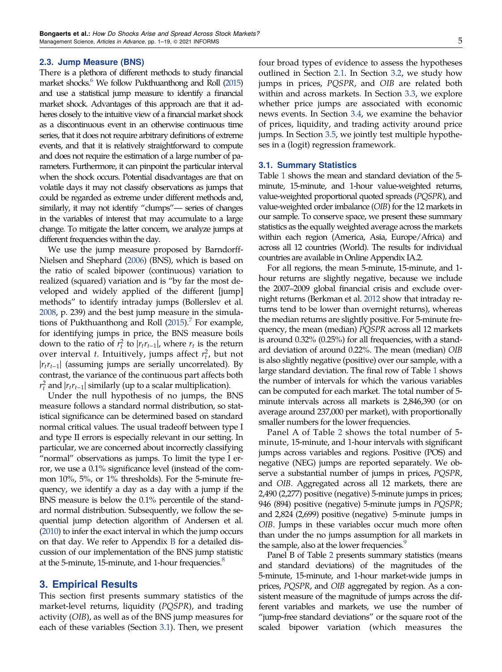#### 2.3. Jump Measure (BNS)

There is a plethora of different methods to study financial market shocks.<sup>6</sup> We follow Pukthuanthong and Roll [\(2015](#page-19-0)) and use a statistical jump measure to identify a financial market shock. Advantages of this approach are that it adheres closely to the intuitive view of a financial market shock as a discontinuous event in an otherwise continuous time series, that it does not require arbitrary definitions of extreme events, and that it is relatively straightforward to compute and does not require the estimation of a large number of parameters. Furthermore, it can pinpoint the particular interval when the shock occurs. Potential disadvantages are that on volatile days it may not classify observations as jumps that could be regarded as extreme under different methods and, similarly, it may not identify "clumps"— series of changes in the variables of interest that may accumulate to a large change. To mitigate the latter concern, we analyze jumps at different frequencies within the day.

We use the jump measure proposed by Barndorff-Nielsen and Shephard ([2006\)](#page-18-0) (BNS), which is based on the ratio of scaled bipower (continuous) variation to realized (squared) variation and is "by far the most developed and widely applied of the different [jump] methods" to identify intraday jumps (Bollerslev et al. [2008](#page-18-0), p. 239) and the best jump measure in the simulations of Pukthuanthong and Roll  $(2015)$  $(2015)$ . For example, for identifying jumps in price, the BNS measure boils down to the ratio of  $r_t^2$  to  $|r_t r_{t-1}|$ , where  $r_t$  is the return over interval *t*. Intuitively, jumps affect  $r_t^2$ , but not  $|r_t r_{t-1}|$  (assuming jumps are serially uncorrelated). By contrast, the variance of the continuous part affects both  $r_t^2$  and  $|r_t r_{t-1}|$  similarly (up to a scalar multiplication).

Under the null hypothesis of no jumps, the BNS measure follows a standard normal distribution, so statistical significance can be determined based on standard normal critical values. The usual tradeoff between type I and type II errors is especially relevant in our setting. In particular, we are concerned about incorrectly classifying "normal" observations as jumps. To limit the type I error, we use a 0.1% significance level (instead of the common 10%, 5%, or 1% thresholds). For the 5-minute frequency, we identify a day as a day with a jump if the BNS measure is below the 0.1% percentile of the standard normal distribution. Subsequently, we follow the sequential jump detection algorithm of Andersen et al. [\(2010\)](#page-18-0) to infer the exact interval in which the jump occurs on that day. We refer to Appendix [B](#page-16-0) for a detailed discussion of our implementation of the BNS jump statistic at the 5-minute, 15-minute, and 1-hour frequencies.<sup>8</sup>

## 3. Empirical Results

This section first presents summary statistics of the market-level returns, liquidity (PQSPR), and trading activity (OIB), as well as of the BNS jump measures for each of these variables (Section 3.1). Then, we present four broad types of evidence to assess the hypotheses outlined in Section [2.1](#page-3-0). In Section [3.2,](#page-6-0) we study how jumps in prices, PQSPR, and OIB are related both within and across markets. In Section [3.3](#page-9-0), we explore whether price jumps are associated with economic news events. In Section [3.4](#page-10-0), we examine the behavior of prices, liquidity, and trading activity around price jumps. In Section [3.5](#page-11-0), we jointly test multiple hypotheses in a (logit) regression framework.

#### 3.1. Summary Statistics

Table [1](#page-6-0) shows the mean and standard deviation of the 5 minute, 15-minute, and 1-hour value-weighted returns, value-weighted proportional quoted spreads (PQSPR), and value-weighted order imbalance (OIB) for the 12 markets in our sample. To conserve space, we present these summary statistics as the equally weighted average across the markets within each region (America, Asia, Europe/Africa) and across all 12 countries (World). The results for individual countries are available in Online Appendix IA.2.

For all regions, the mean 5-minute, 15-minute, and 1 hour returns are slightly negative, because we include the 2007–2009 global financial crisis and exclude overnight returns (Berkman et al. [2012](#page-18-0) show that intraday returns tend to be lower than overnight returns), whereas the median returns are slightly positive. For 5-minute frequency, the mean (median) PQSPR across all 12 markets is around 0.32% (0.25%) for all frequencies, with a standard deviation of around 0.22%. The mean (median) OIB is also slightly negative (positive) over our sample, with a large standard deviation. The final row of Table [1](#page-6-0) shows the number of intervals for which the various variables can be computed for each market. The total number of 5 minute intervals across all markets is 2,846,390 (or on average around 237,000 per market), with proportionally smaller numbers for the lower frequencies.

Panel A of Table [2](#page-7-0) shows the total number of 5 minute, 15-minute, and 1-hour intervals with significant jumps across variables and regions. Positive (POS) and negative (NEG) jumps are reported separately. We observe a substantial number of jumps in prices, PQSPR, and OIB. Aggregated across all 12 markets, there are 2,490 (2,277) positive (negative) 5-minute jumps in prices; 946 (894) positive (negative) 5-minute jumps in PQSPR; and 2,824 (2,699) positive (negative) 5-minute jumps in OIB. Jumps in these variables occur much more often than under the no jumps assumption for all markets in the sample, also at the lower frequencies.<sup>9</sup>

Panel B of Table [2](#page-7-0) presents summary statistics (means and standard deviations) of the magnitudes of the 5-minute, 15-minute, and 1-hour market-wide jumps in prices, PQSPR, and OIB aggregated by region. As a consistent measure of the magnitude of jumps across the different variables and markets, we use the number of "jump-free standard deviations" or the square root of the scaled bipower variation (which measures the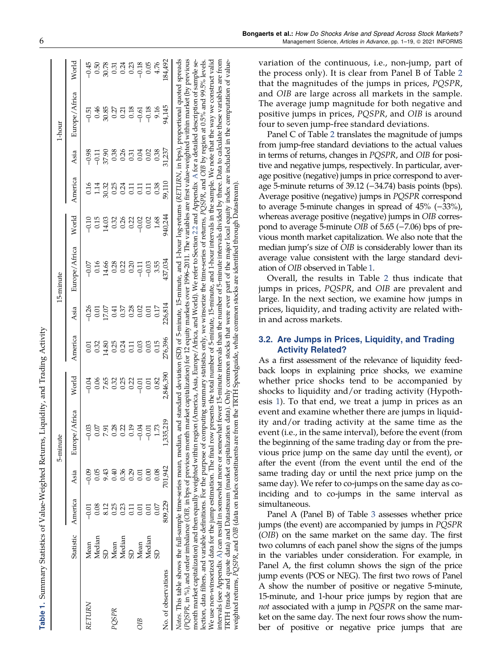| ١                    |
|----------------------|
|                      |
|                      |
| i                    |
|                      |
| とらすでくる てんらく こようてきこう  |
|                      |
|                      |
|                      |
|                      |
|                      |
|                      |
| l                    |
| i                    |
|                      |
|                      |
|                      |
|                      |
|                      |
|                      |
| ļ                    |
|                      |
|                      |
|                      |
| ١                    |
| $\ddot{\phantom{0}}$ |
|                      |
|                      |
|                      |
|                      |
|                      |
| ;<br>;               |
|                      |
|                      |
|                      |
|                      |
|                      |
|                      |
|                      |
|                      |
|                      |
|                      |
|                      |
|                      |
|                      |
|                      |
|                      |
|                      |
|                      |
|                      |
|                      |
|                      |
|                      |

 $\triangleright$ 

<span id="page-6-0"></span>

|                                                                                                                                                                                                                                                                                                                                  |           |           |           | 5-minute                                                                                                                                                                                                                                                                                                                                                                                              |           |         |         | 15-minute                                                                                                                                                                                                                                                             |         |               |         | 1-hour        |         |
|----------------------------------------------------------------------------------------------------------------------------------------------------------------------------------------------------------------------------------------------------------------------------------------------------------------------------------|-----------|-----------|-----------|-------------------------------------------------------------------------------------------------------------------------------------------------------------------------------------------------------------------------------------------------------------------------------------------------------------------------------------------------------------------------------------------------------|-----------|---------|---------|-----------------------------------------------------------------------------------------------------------------------------------------------------------------------------------------------------------------------------------------------------------------------|---------|---------------|---------|---------------|---------|
|                                                                                                                                                                                                                                                                                                                                  | Statistic | America   | Asia      | Europe/Africa                                                                                                                                                                                                                                                                                                                                                                                         | World     | America | Asia    | Europe/Africa                                                                                                                                                                                                                                                         | World   | America       | Asia    | Europe/Africa | World   |
| RETURN                                                                                                                                                                                                                                                                                                                           | Mean      |           | $-0.09$   | $-0.03$                                                                                                                                                                                                                                                                                                                                                                                               | $-0.04$   | 5.<br>0 | 0.26    | $-0.07$                                                                                                                                                                                                                                                               | $-0.10$ | 0.16          | $-0.98$ | $-0.51$       |         |
|                                                                                                                                                                                                                                                                                                                                  | Median    |           |           |                                                                                                                                                                                                                                                                                                                                                                                                       | 0.06      | 0.32    | 0.01    | 0.16                                                                                                                                                                                                                                                                  | 0.15    | 1.14          | $-0.17$ |               | 0.50    |
|                                                                                                                                                                                                                                                                                                                                  |           | 8.12      | 9.43      |                                                                                                                                                                                                                                                                                                                                                                                                       | 7.65      | 14.80   | 17.07   | 14.66                                                                                                                                                                                                                                                                 | 14.03   |               | 37.90   | 0.46<br>30.85 | 30.78   |
| POSPR                                                                                                                                                                                                                                                                                                                            | Mean      | <b>25</b> | 340       | 0.28                                                                                                                                                                                                                                                                                                                                                                                                  | 0.32      | 0.25    | 0.41    | 0.28                                                                                                                                                                                                                                                                  | 0.32    | 30.32<br>0.25 | 0.38    | 0.27          | 0.31    |
|                                                                                                                                                                                                                                                                                                                                  | Median    |           | 36        | 0.22                                                                                                                                                                                                                                                                                                                                                                                                  | 0.25      | 0.24    | 0.37    | 0.22                                                                                                                                                                                                                                                                  | 0.26    | 0.24          | 0.26    | 0.21          | 0.24    |
|                                                                                                                                                                                                                                                                                                                                  |           |           | <u>is</u> |                                                                                                                                                                                                                                                                                                                                                                                                       | 0.22      | E.C     | 0.28    | 0.20                                                                                                                                                                                                                                                                  | 0.22    | 0.11          | 0.31    | 0.18          | 0.23    |
| <b>SIO</b>                                                                                                                                                                                                                                                                                                                       | Mean      |           |           | $-0.04$                                                                                                                                                                                                                                                                                                                                                                                               | $-0.01$   | 0.03    | 0.02    | $-0.11$                                                                                                                                                                                                                                                               | $-0.02$ | 0.11          | 0.04    | $-0.61$       | $-0.18$ |
|                                                                                                                                                                                                                                                                                                                                  | Median    |           | Ŏ.        | $-0.01$                                                                                                                                                                                                                                                                                                                                                                                               | 0.01      | 0.03    | 0.0     | $-0.03$                                                                                                                                                                                                                                                               | 0.02    | $\Xi$         | 0.02    | $-0.18$       | 0.05    |
|                                                                                                                                                                                                                                                                                                                                  |           | 0.07      | 0.08      |                                                                                                                                                                                                                                                                                                                                                                                                       | 0.82      | 0.15    | 0.17    | 3.55                                                                                                                                                                                                                                                                  | 1.68    | 0.38          | 0.38    | 9.16          | 4.76    |
| No. of observations                                                                                                                                                                                                                                                                                                              |           | 809,229   | 701,942   | 1,335,219                                                                                                                                                                                                                                                                                                                                                                                             | 2,846,390 | 276,396 | 226,814 | 437,034                                                                                                                                                                                                                                                               | 940,244 | 59,110        | 31,237  | 94,145        | 84,492  |
| Notes. This table shows the full-sample time-series mean, median, and standard deviation (SD) of 5-minute, 15-minute, and 1-hour log-returns (RETURN, in bps), proportional quoted spreads<br>PQSPR, in %), and order imbalance (OIB, in bps of previous mon<br>month market capitalization) and then equally weighted within re |           |           |           | We use non-winsorized data for the jump estimation. The final row presents the total number of 5-minute, 25-minute, and 1-hour intervals in the sample. We note that the way we construct valid<br>lection, data filters, and variable definitions. For the purpose of computing summary statistics only, we winsorize the time-series of returns, PQSPR, and OIB by region at 0.5% and 99.5% levels. |           |         |         | th market capitalization) for 12 equity markets over 1996–2011. The variables are first value-weighted within market (by previous<br>egion (America, Asia, Europe/Africa, and World). We refer to Section 2.2 and Appendix A for a detailed description of sample se- |         |               |         |               |         |

[A](#page-15-0)) can result in somewhat more or somewhat fewer 15-minute intervals than the number of 5-minute intervals divided by three. Data to calculate these variables are from

computation of value-

local equity index are included in the

intervals (see Appendix A) can result in somewhat more or somewhat fewer 15-minute intervals than the number of 5-minute intervals divided by three. Data to calculate these variables are from

TRTH (trade and quote data) and Datastream (market capitalization data). Only common stocks that were ever part of the major local equity index are included in the computation of value-

weighted returns, PQSPR, and OIB (data on index constituents are from the TRTH Speedguide, while common stocks are identified through Datastream).

TRTH (trade and quote data) and Datastream (market capitalization data). Only common stocks that were ever part of the major local equity index a<br>weighted returns, PQSPR, and OIB (data on index constituents are from the TR

intervals (see Appendix

variation of the continuous, i.e., non-jump, part of the process only). It is clear from Panel B of Table [2](#page-7-0) that the magnitudes of the jumps in prices, PQSPR, and OIB are large across all markets in the sample. The average jump magnitude for both negative and positive jumps in prices, PQSPR, and OIB is around four to seven jump-free standard deviations.

Panel C of Table [2](#page-7-0) translates the magnitude of jumps from jump-free standard deviations to the actual values in terms of returns, changes in PQSPR, and OIB for positive and negative jumps, respectively. In particular, average positive (negative) jumps in price correspond to average 5-minute returns of 39.12 (−34.74) basis points (bps). Average positive (negative) jumps in PQSPR correspond to average 5-minute changes in spread of 45% (−33%), whereas average positive (negative) jumps in OIB correspond to average 5-minute OIB of 5.65 (−7.06) bps of previous month market capitalization. We also note that the median jump's size of OIB is considerably lower than its average value consistent with the large standard deviation of OIB observed in Table 1.

Overall, the results in Table [2](#page-7-0) thus indicate that jumps in prices, PQSPR, and OIB are prevalent and large. In the next section, we examine how jumps in prices, liquidity, and trading activity are related within and across markets.

## 3.2. Are Jumps in Prices, Liquidity, and Trading Activity Related?

As a first assessment of the relevance of liquidity feedback loops in explaining price shocks, we examine whether price shocks tend to be accompanied by shocks to liquidity and/or trading activity (Hypothesis [1](#page-4-0)). To that end, we treat a jump in prices as an event and examine whether there are jumps in liquidity and/or trading activity at the same time as the event (i.e., in the same interval), before the event (from the beginning of the same trading day or from the previous price jump on the same day until the event), or after the event (from the event until the end of the same trading day or until the next price jump on the same day). We refer to co-jumps on the same day as coinciding and to co-jumps in the same interval as simultaneous.

Panel A (Panel B) of Table [3](#page-8-0) assesses whether price jumps (the event) are accompanied by jumps in PQSPR (OIB) on the same market on the same day. The first two columns of each panel show the signs of the jumps in the variables under consideration. For example, in Panel A, the first column shows the sign of the price jump events (POS or NEG). The first two rows of Panel A show the number of positive or negative 5-minute, 15-minute, and 1-hour price jumps by region that are not associated with a jump in PQSPR on the same market on the same day. The next four rows show the number of positive or negative price jumps that are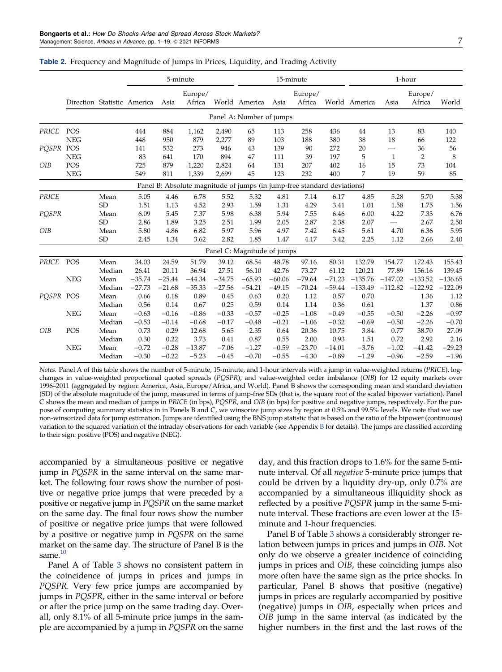|              |                             |           |          | 5-minute |                   |          |                                                                         |          | 15-minute         |          |                | 1-hour                   |                   |           |
|--------------|-----------------------------|-----------|----------|----------|-------------------|----------|-------------------------------------------------------------------------|----------|-------------------|----------|----------------|--------------------------|-------------------|-----------|
|              | Direction Statistic America |           |          | Asia     | Europe/<br>Africa |          | World America                                                           | Asia     | Europe/<br>Africa |          | World America  | Asia                     | Europe/<br>Africa | World     |
|              |                             |           |          |          |                   |          | Panel A: Number of jumps                                                |          |                   |          |                |                          |                   |           |
| PRICE        | POS                         |           | 444      | 884      | 1,162             | 2,490    | 65                                                                      | 113      | 258               | 436      | 44             | 13                       | 83                | 140       |
|              | <b>NEG</b>                  |           | 448      | 950      | 879               | 2,277    | 89                                                                      | 103      | 188               | 380      | 38             | 18                       | 66                | 122       |
| POSPR        | POS                         |           | 141      | 532      | 273               | 946      | 43                                                                      | 139      | 90                | 272      | 20             | $\overline{\phantom{0}}$ | 36                | 56        |
|              | <b>NEG</b>                  |           | 83       | 641      | 170               | 894      | 47                                                                      | 111      | 39                | 197      | 5              | $\mathbf{1}$             | $\overline{2}$    | 8         |
| OIB          | POS                         |           | 725      | 879      | 1,220             | 2,824    | 64                                                                      | 131      | 207               | 402      | 16             | 15                       | 73                | 104       |
|              | <b>NEG</b>                  |           | 549      | 811      | 1,339             | 2,699    | 45                                                                      | 123      | 232               | 400      | $\overline{7}$ | 19                       | 59                | 85        |
|              |                             |           |          |          |                   |          | Panel B: Absolute magnitude of jumps (in jump-free standard deviations) |          |                   |          |                |                          |                   |           |
| <b>PRICE</b> |                             | Mean      | 5.05     | 4.46     | 6.78              | 5.52     | 5.32                                                                    | 4.81     | 7.14              | 6.17     | 4.85           | 5.28                     | 5.70              | 5.38      |
|              |                             | <b>SD</b> | 1.51     | 1.13     | 4.52              | 2.93     | 1.59                                                                    | 1.31     | 4.29              | 3.41     | 1.01           | 1.58                     | 1.75              | 1.56      |
| PQSPR        |                             | Mean      | 6.09     | 5.45     | 7.37              | 5.98     | 6.38                                                                    | 5.94     | 7.55              | 6.46     | 6.00           | 4.22                     | 7.33              | 6.76      |
|              |                             | <b>SD</b> | 2.86     | 1.89     | 3.25              | 2.51     | 1.99                                                                    | 2.05     | 2.87              | 2.38     | 2.07           | —                        | 2.67              | 2.50      |
| OIB          |                             | Mean      | 5.80     | 4.86     | 6.82              | 5.97     | 5.96                                                                    | 4.97     | 7.42              | 6.45     | 5.61           | 4.70                     | 6.36              | 5.95      |
|              |                             | <b>SD</b> | 2.45     | 1.34     | 3.62              | 2.82     | 1.85                                                                    | 1.47     | 4.17              | 3.42     | 2.25           | 1.12                     | 2.66              | 2.40      |
|              |                             |           |          |          |                   |          | Panel C: Magnitude of jumps                                             |          |                   |          |                |                          |                   |           |
| PRICE        | POS                         | Mean      | 34.03    | 24.59    | 51.79             | 39.12    | 68.54                                                                   | 48.78    | 97.16             | 80.31    | 132.79         | 154.77                   | 172.43            | 155.43    |
|              |                             | Median    | 26.41    | 20.11    | 36.94             | 27.51    | 56.10                                                                   | 42.76    | 73.27             | 61.12    | 120.21         | 77.89                    | 156.16            | 139.45    |
|              | <b>NEG</b>                  | Mean      | $-35.74$ | $-25.44$ | $-44.34$          | $-34.75$ | $-65.93$                                                                | $-60.06$ | $-79.64$          | $-71.23$ | $-135.76$      | $-147.02$                | $-133.52$         | $-136.65$ |
|              |                             | Median    | $-27.73$ | $-21.68$ | $-35.33$          | $-27.56$ | $-54.21$                                                                | $-49.15$ | $-70.24$          | $-59.44$ | $-133.49$      | $-112.82$                | $-122.92$         | $-122.09$ |
| POSPR POS    |                             | Mean      | 0.66     | 0.18     | 0.89              | 0.45     | 0.63                                                                    | 0.20     | 1.12              | 0.57     | 0.70           |                          | 1.36              | 1.12      |
|              |                             | Median    | 0.56     | 0.14     | 0.67              | 0.25     | 0.59                                                                    | 0.14     | 1.14              | 0.36     | 0.61           |                          | 1.37              | 0.86      |
|              | <b>NEG</b>                  | Mean      | $-0.63$  | $-0.16$  | $-0.86$           | $-0.33$  | $-0.57$                                                                 | $-0.25$  | $-1.08$           | $-0.49$  | $-0.55$        | $-0.50$                  | $-2.26$           | $-0.97$   |
|              |                             | Median    | $-0.53$  | $-0.14$  | $-0.68$           | $-0.17$  | $-0.48$                                                                 | $-0.21$  | $-1.06$           | $-0.32$  | $-0.69$        | $-0.50$                  | $-2.26$           | $-0.70$   |
| OIB          | POS                         | Mean      | 0.73     | 0.29     | 12.68             | 5.65     | 2.35                                                                    | 0.64     | 20.36             | 10.75    | 3.84           | 0.77                     | 38.70             | 27.09     |
|              |                             | Median    | 0.30     | 0.22     | 3.73              | 0.41     | 0.87                                                                    | 0.55     | 2.00              | 0.93     | 1.51           | 0.72                     | 2.92              | 2.16      |
|              | <b>NEG</b>                  | Mean      | $-0.72$  | $-0.28$  | $-13.87$          | $-7.06$  | $-1.27$                                                                 | $-0.59$  | $-23.70$          | $-14.01$ | $-3.76$        | $-1.02$                  | $-41.42$          | $-29.23$  |
|              |                             | Median    | $-0.30$  | $-0.22$  | $-5.23$           | $-0.45$  | $-0.70$                                                                 | $-0.55$  | $-4.30$           | $-0.89$  | $-1.29$        | $-0.96$                  | $-2.59$           | $-1.96$   |

<span id="page-7-0"></span>Table 2. Frequency and Magnitude of Jumps in Prices, Liquidity, and Trading Activity

Notes. Panel A of this table shows the number of 5-minute, 15-minute, and 1-hour intervals with a jump in value-weighted returns (PRICE), logchanges in value-weighted proportional quoted spreads (PQSPR), and value-weighted order imbalance (OIB) for 12 equity markets over 1996–2011 (aggregated by region: America, Asia, Europe/Africa, and World). Panel B shows the corresponding mean and standard deviation (SD) of the absolute magnitude of the jump, measured in terms of jump-free SDs (that is, the square root of the scaled bipower variation). Panel C shows the mean and median of jumps in PRICE (in bps), PQSPR, and OIB (in bps) for positive and negative jumps, respectively. For the purpose of computing summary statistics in in Panels B and C, we winsorize jump sizes by region at 0.5% and 99.5% levels. We note that we use non-winsorized data for jump estimation. Jumps are identified using the BNS jump statistic that is based on the ratio of the bipower (continuous) variation to the squared variation of the intraday observations for each variable (see Appendix [B](#page-16-0) for details). The jumps are classified according to their sign: positive (POS) and negative (NEG).

accompanied by a simultaneous positive or negative jump in PQSPR in the same interval on the same market. The following four rows show the number of positive or negative price jumps that were preceded by a positive or negative jump in PQSPR on the same market on the same day. The final four rows show the number of positive or negative price jumps that were followed by a positive or negative jump in PQSPR on the same market on the same day. The structure of Panel B is the same.<sup>10</sup>

Panel A of Table [3](#page-8-0) shows no consistent pattern in the coincidence of jumps in prices and jumps in PQSPR. Very few price jumps are accompanied by jumps in PQSPR, either in the same interval or before or after the price jump on the same trading day. Overall, only 8.1% of all 5-minute price jumps in the sample are accompanied by a jump in PQSPR on the same day, and this fraction drops to 1.6% for the same 5-minute interval. Of all negative 5-minute price jumps that could be driven by a liquidity dry-up, only 0.7% are accompanied by a simultaneous illiquidity shock as reflected by a positive PQSPR jump in the same 5-minute interval. These fractions are even lower at the 15 minute and 1-hour frequencies.

Panel B of Table [3](#page-8-0) shows a considerably stronger relation between jumps in prices and jumps in OIB. Not only do we observe a greater incidence of coinciding jumps in prices and OIB, these coinciding jumps also more often have the same sign as the price shocks. In particular, Panel B shows that positive (negative) jumps in prices are regularly accompanied by positive (negative) jumps in OIB, especially when prices and OIB jump in the same interval (as indicated by the higher numbers in the first and the last rows of the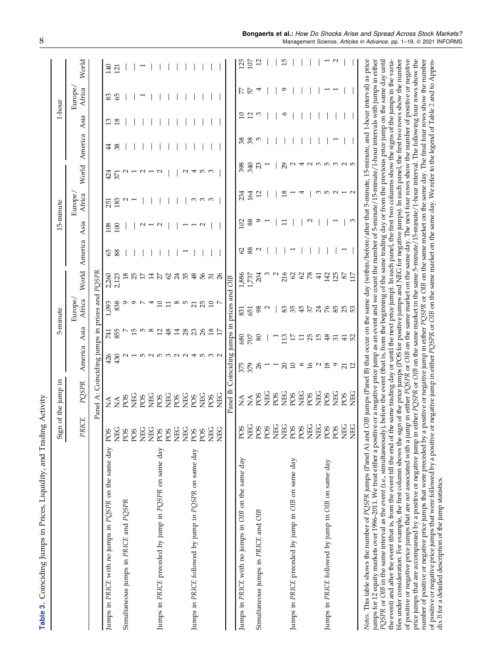| Í                            |
|------------------------------|
| ١<br>くらさ くらさん                |
|                              |
| : : : :<br>י<br>ׇ֚֘          |
| I                            |
| ֦<br>l                       |
| $\sim$ and $\sim$ and $\sim$ |
|                              |

<span id="page-8-0"></span>

|                                                                                                                                                                                                                                                                                                                                                                                                                                                                                                                                                                                                                                                                                                                                                                                                                        |                 | Sign of the jump in                           |                 | 5-minute        |                   |                 |                    |     | 15-minute         |                    |    | 1-hour          |                   |              |
|------------------------------------------------------------------------------------------------------------------------------------------------------------------------------------------------------------------------------------------------------------------------------------------------------------------------------------------------------------------------------------------------------------------------------------------------------------------------------------------------------------------------------------------------------------------------------------------------------------------------------------------------------------------------------------------------------------------------------------------------------------------------------------------------------------------------|-----------------|-----------------------------------------------|-----------------|-----------------|-------------------|-----------------|--------------------|-----|-------------------|--------------------|----|-----------------|-------------------|--------------|
|                                                                                                                                                                                                                                                                                                                                                                                                                                                                                                                                                                                                                                                                                                                                                                                                                        | PRICE           | PQSPR                                         | America Asia    |                 | Europe,<br>Africa |                 | World America Asia |     | Europe,<br>Africa | World America Asia |    |                 | Europe,<br>Africa | World        |
|                                                                                                                                                                                                                                                                                                                                                                                                                                                                                                                                                                                                                                                                                                                                                                                                                        |                 | Panel A: Coinciding jumps in prices and PQSPR |                 |                 |                   |                 |                    |     |                   |                    |    |                 |                   |              |
| Jumps in PRICE with no jumps in PQSPR on the same day                                                                                                                                                                                                                                                                                                                                                                                                                                                                                                                                                                                                                                                                                                                                                                  | POS             | $\stackrel{\triangle}{\simeq}$                | 426             | 741             | 1,093             | 2,260           | 65                 | 108 | 251               | 424                | 4  | 13              | 83                | 140          |
|                                                                                                                                                                                                                                                                                                                                                                                                                                                                                                                                                                                                                                                                                                                                                                                                                        | <b>NEG</b>      | $\sum_{i=1}^{n}$                              | 430             | 855             | 838               | 2,123           | 88                 | 100 | 183               | 371                |    | $\overline{8}$  | 65                | 121          |
| Simultaneous jumps in PRICE and PQSPR                                                                                                                                                                                                                                                                                                                                                                                                                                                                                                                                                                                                                                                                                                                                                                                  | POS             | POS                                           |                 |                 |                   | $^{18}$         |                    |     |                   |                    |    |                 |                   |              |
|                                                                                                                                                                                                                                                                                                                                                                                                                                                                                                                                                                                                                                                                                                                                                                                                                        | POS             | <b>NEG</b>                                    |                 | 15              | σ                 | 25              |                    |     |                   |                    |    |                 |                   |              |
|                                                                                                                                                                                                                                                                                                                                                                                                                                                                                                                                                                                                                                                                                                                                                                                                                        | <b>DEC</b>      | PO <sub>S</sub>                               | ro u            | IJ              |                   | 17              |                    |     |                   |                    |    |                 |                   |              |
|                                                                                                                                                                                                                                                                                                                                                                                                                                                                                                                                                                                                                                                                                                                                                                                                                        | <b>DEC</b>      | <b>DEC</b>                                    |                 | $^{\circ}$      |                   | 14              |                    |     |                   |                    |    |                 |                   |              |
| Jumps in PRICE preceded by jump in PQSPR on same day                                                                                                                                                                                                                                                                                                                                                                                                                                                                                                                                                                                                                                                                                                                                                                   | PO <sub>S</sub> | POS                                           |                 | 12              | $\Xi$             | 27              |                    |     |                   |                    |    |                 |                   |              |
|                                                                                                                                                                                                                                                                                                                                                                                                                                                                                                                                                                                                                                                                                                                                                                                                                        | POS             | DHD<br>NHC                                    |                 | $\frac{48}{5}$  |                   | 62              |                    |     |                   |                    |    |                 |                   |              |
|                                                                                                                                                                                                                                                                                                                                                                                                                                                                                                                                                                                                                                                                                                                                                                                                                        | <b>NEG</b>      | <b>POS</b>                                    |                 | $\vec{a}$       | ∞                 | 24              |                    |     |                   |                    |    |                 |                   |              |
|                                                                                                                                                                                                                                                                                                                                                                                                                                                                                                                                                                                                                                                                                                                                                                                                                        | <b>DEC</b>      | <b>NEG</b>                                    | $\sim$          | 28              |                   | 35              |                    |     |                   | N                  |    |                 |                   |              |
| Jumps in PRICE followed by jump in PQSPR on same day                                                                                                                                                                                                                                                                                                                                                                                                                                                                                                                                                                                                                                                                                                                                                                   | PO <sub>S</sub> | <b>POS</b>                                    |                 | 23              | $\overline{21}$   | 48              |                    |     | ო ო               | 4                  |    |                 |                   |              |
|                                                                                                                                                                                                                                                                                                                                                                                                                                                                                                                                                                                                                                                                                                                                                                                                                        | PO <sub>S</sub> | DEC<br>NHC                                    | ഥ               | 26              | 25                | 56              |                    |     |                   | 5                  |    |                 |                   |              |
|                                                                                                                                                                                                                                                                                                                                                                                                                                                                                                                                                                                                                                                                                                                                                                                                                        | <b>NEG</b>      | POS                                           | ∞               | 18              | 10                | $\overline{51}$ |                    |     | S                 | S                  |    |                 |                   |              |
|                                                                                                                                                                                                                                                                                                                                                                                                                                                                                                                                                                                                                                                                                                                                                                                                                        | <b>NEG</b>      | <b>DHC</b>                                    |                 |                 |                   | 26              |                    |     |                   |                    |    |                 |                   |              |
|                                                                                                                                                                                                                                                                                                                                                                                                                                                                                                                                                                                                                                                                                                                                                                                                                        |                 | Panel B: Coinciding jumps in prices and OIB   |                 |                 |                   |                 |                    |     |                   |                    |    |                 |                   |              |
| Jumps in PRICE with no jumps in OIB on the same day                                                                                                                                                                                                                                                                                                                                                                                                                                                                                                                                                                                                                                                                                                                                                                    | PO <sub>S</sub> | $\mathop{\rm S}\nolimits$                     | 375             | 680             | 831               | 1,886           | 2                  | 102 | 234               | 398                | 38 | $\Xi$           | R.                | 125          |
|                                                                                                                                                                                                                                                                                                                                                                                                                                                                                                                                                                                                                                                                                                                                                                                                                        | <b>NEG</b>      | $\tilde{\Sigma}$                              | 379             | 707             | 651               | 1,737           | 88                 | 88  | 164               | 340                | 38 | $\overline{12}$ | $\mathbb{Z}$      | 107          |
| Simultaneous jumps in PRICE and OIB                                                                                                                                                                                                                                                                                                                                                                                                                                                                                                                                                                                                                                                                                                                                                                                    | POS             | POS                                           | $\overline{26}$ | 80              | 98                | 204             | $\sim$             | σ   | 12                | 23                 | FU | S               | 4                 | $\mathbf{z}$ |
|                                                                                                                                                                                                                                                                                                                                                                                                                                                                                                                                                                                                                                                                                                                                                                                                                        | POS             | <b>NEG</b>                                    |                 |                 |                   |                 |                    |     |                   |                    |    |                 |                   |              |
|                                                                                                                                                                                                                                                                                                                                                                                                                                                                                                                                                                                                                                                                                                                                                                                                                        | <b>NEG</b>      | POS                                           |                 |                 |                   |                 |                    |     |                   |                    |    |                 |                   |              |
|                                                                                                                                                                                                                                                                                                                                                                                                                                                                                                                                                                                                                                                                                                                                                                                                                        | <b>NEG</b>      | <b>NEG</b>                                    | $\overline{c}$  | 13              | 83                | 216             |                    | Ξ   | $\frac{8}{1}$     | 29                 |    | $\circ$         | Ó                 | 19           |
| Jumps in PRICE preceded by jump in OIB on same day                                                                                                                                                                                                                                                                                                                                                                                                                                                                                                                                                                                                                                                                                                                                                                     | POS             | POS                                           | 10              | 17              | 35                | 62              |                    |     |                   | $\mathbf{\sim}$    |    |                 |                   |              |
|                                                                                                                                                                                                                                                                                                                                                                                                                                                                                                                                                                                                                                                                                                                                                                                                                        | POS             | <b>NEG</b>                                    | $\circ$         | $\Box$          | 45                | 62              |                    |     |                   |                    |    |                 |                   |              |
|                                                                                                                                                                                                                                                                                                                                                                                                                                                                                                                                                                                                                                                                                                                                                                                                                        | <b>NEG</b>      | SOs                                           | 16              | 25              | 57                | 78              |                    |     |                   | $\sim$             |    |                 |                   |              |
|                                                                                                                                                                                                                                                                                                                                                                                                                                                                                                                                                                                                                                                                                                                                                                                                                        | <b>NEG</b>      | <b>NEG</b>                                    | $\sim$          | 15              | 24                | $\overline{41}$ |                    |     |                   | S                  |    |                 |                   |              |
| Jumps in PRICE followed by jump in OIB on same day                                                                                                                                                                                                                                                                                                                                                                                                                                                                                                                                                                                                                                                                                                                                                                     | POS             | POS                                           | $^{18}$         | 48              | 76                | 142             |                    |     | m                 | ro co              |    |                 |                   |              |
|                                                                                                                                                                                                                                                                                                                                                                                                                                                                                                                                                                                                                                                                                                                                                                                                                        | POS             | DHD<br>2                                      | $\circ$         | 51              | 85                | 125             |                    |     | $\sim$            |                    |    |                 |                   |              |
|                                                                                                                                                                                                                                                                                                                                                                                                                                                                                                                                                                                                                                                                                                                                                                                                                        | <b>NEG</b>      | PO <sub>S</sub>                               | $\overline{21}$ | $\overline{41}$ | 25                | 87              |                    |     |                   | ию                 |    |                 |                   |              |
|                                                                                                                                                                                                                                                                                                                                                                                                                                                                                                                                                                                                                                                                                                                                                                                                                        | <b>NEG</b>      | <b>NEG</b>                                    | 12              | 52              |                   | 117             |                    | S   |                   |                    |    |                 |                   |              |
| Notes. This table shows the number of PQSPR jumps (Panel A) and OIB jumps (Panel B) that occur on the same day (within/before/after that 5-minute, 15-minute, and 1-hour interval) as price<br>jumps for 12 equity markets over 1996-2011. We treat either a positive or a negative price jump as an event and we count the number of 5-minute/15-minute/1-hour intervals with jumps in either<br>$PQSPR$ or $OIB$ in the same interval as the event (i.e., simultaneously), before the event (that is, from the beginning of the same trading day or from the previous price jump on the same day until<br>the event) and after the event (that is, from the event till the end of the same trading day or until the next price jump). In each panel, the first two columns show the signs of the jumps in the varia- |                 |                                               |                 |                 |                   |                 |                    |     |                   |                    |    |                 |                   |              |
| of positive or negative price jumps that are not associated with a jump in either PQSPR or OIB on the same market on the same day. The next four rows show the number of positive or negative<br>bles under consideration. For example, the first column shows the sign of the price jumps (POS for positive jumps and NEG for negative jumps). In each panel, the first two rows show the number                                                                                                                                                                                                                                                                                                                                                                                                                      |                 |                                               |                 |                 |                   |                 |                    |     |                   |                    |    |                 |                   |              |
| price jumps that are accompanied by a positive or negative jump in either PQSPR or OIB on the same market in the same 5-minute/15-minute/1-hour interval. The following four rows show the<br>number of positive or negative price jumps that were preceded by a positive or negative jump in either PQSPR or OIB on the same market on the same day. The final four rows show the number                                                                                                                                                                                                                                                                                                                                                                                                                              |                 |                                               |                 |                 |                   |                 |                    |     |                   |                    |    |                 |                   |              |
| of positive or negative price jumps that were followed by a positive or negative jump in either PQSPR or OIB on the same market on the same day. We refer to the legend of Table 2 and to Appen-                                                                                                                                                                                                                                                                                                                                                                                                                                                                                                                                                                                                                       |                 |                                               |                 |                 |                   |                 |                    |     |                   |                    |    |                 |                   |              |
| dix B for a detailed description of the jump statistics.                                                                                                                                                                                                                                                                                                                                                                                                                                                                                                                                                                                                                                                                                                                                                               |                 |                                               |                 |                 |                   |                 |                    |     |                   |                    |    |                 |                   |              |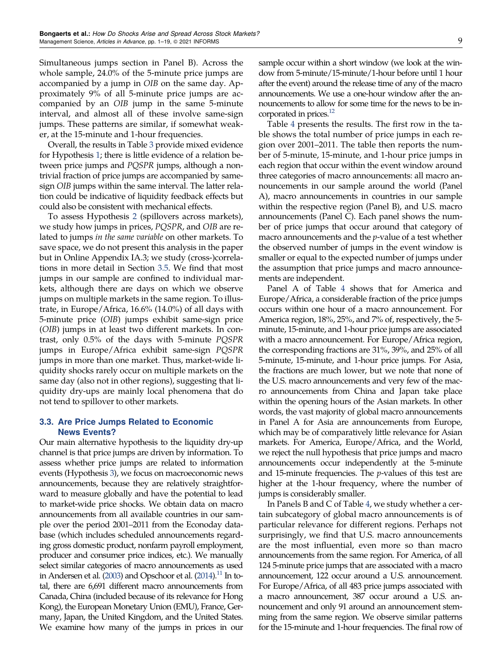<span id="page-9-0"></span>Simultaneous jumps section in Panel B). Across the whole sample, 24.0% of the 5-minute price jumps are accompanied by a jump in OIB on the same day. Approximately 9% of all 5-minute price jumps are accompanied by an OIB jump in the same 5-minute interval, and almost all of these involve same-sign jumps. These patterns are similar, if somewhat weaker, at the 15-minute and 1-hour frequencies.

Overall, the results in Table [3](#page-8-0) provide mixed evidence for Hypothesis [1;](#page-4-0) there is little evidence of a relation between price jumps and PQSPR jumps, although a nontrivial fraction of price jumps are accompanied by samesign OIB jumps within the same interval. The latter relation could be indicative of liquidity feedback effects but could also be consistent with mechanical effects.

To assess Hypothesis [2](#page-4-0) (spillovers across markets), we study how jumps in prices, PQSPR, and OIB are related to jumps in the same variable on other markets. To save space, we do not present this analysis in the paper but in Online Appendix IA.3; we study (cross-)correlations in more detail in Section [3.5](#page-11-0). We find that most jumps in our sample are confined to individual markets, although there are days on which we observe jumps on multiple markets in the same region. To illustrate, in Europe/Africa, 16.6% (14.0%) of all days with 5-minute price (OIB) jumps exhibit same-sign price (OIB) jumps in at least two different markets. In contrast, only 0.5% of the days with 5-minute PQSPR jumps in Europe/Africa exhibit same-sign PQSPR jumps in more than one market. Thus, market-wide liquidity shocks rarely occur on multiple markets on the same day (also not in other regions), suggesting that liquidity dry-ups are mainly local phenomena that do not tend to spillover to other markets.

## 3.3. Are Price Jumps Related to Economic News Events?

Our main alternative hypothesis to the liquidity dry-up channel is that price jumps are driven by information. To assess whether price jumps are related to information events (Hypothesis [3\)](#page-4-0), we focus on macroeconomic news announcements, because they are relatively straightforward to measure globally and have the potential to lead to market-wide price shocks. We obtain data on macro announcements from all available countries in our sample over the period 2001–2011 from the Econoday database (which includes scheduled announcements regarding gross domestic product, nonfarm payroll employment, producer and consumer price indices, etc.). We manually select similar categories of macro announcements as used in Andersen et al.  $(2003)$  $(2003)$  and Opschoor et al.  $(2014).$  $(2014).$ <sup>[11](#page-17-0)</sup> In total, there are 6,691 different macro announcements from Canada, China (included because of its relevance for Hong Kong), the European Monetary Union (EMU), France, Germany, Japan, the United Kingdom, and the United States. We examine how many of the jumps in prices in our sample occur within a short window (we look at the window from 5-minute/15-minute/1-hour before until 1 hour after the event) around the release time of any of the macro announcements. We use a one-hour window after the announcements to allow for some time for the news to be incorporated in prices.<sup>12</sup>

Table [4](#page-10-0) presents the results. The first row in the table shows the total number of price jumps in each region over 2001–2011. The table then reports the number of 5-minute, 15-minute, and 1-hour price jumps in each region that occur within the event window around three categories of macro announcements: all macro announcements in our sample around the world (Panel A), macro announcements in countries in our sample within the respective region (Panel B), and U.S. macro announcements (Panel C). Each panel shows the number of price jumps that occur around that category of macro announcements and the  $p$ -value of a test whether the observed number of jumps in the event window is smaller or equal to the expected number of jumps under the assumption that price jumps and macro announcements are independent.

Panel A of Table [4](#page-10-0) shows that for America and Europe/Africa, a considerable fraction of the price jumps occurs within one hour of a macro announcement. For America region, 18%, 25%, and 7% of, respectively, the 5 minute, 15-minute, and 1-hour price jumps are associated with a macro announcement. For Europe/Africa region, the corresponding fractions are 31%, 39%, and 25% of all 5-minute, 15-minute, and 1-hour price jumps. For Asia, the fractions are much lower, but we note that none of the U.S. macro announcements and very few of the macro announcements from China and Japan take place within the opening hours of the Asian markets. In other words, the vast majority of global macro announcements in Panel A for Asia are announcements from Europe, which may be of comparatively little relevance for Asian markets. For America, Europe/Africa, and the World, we reject the null hypothesis that price jumps and macro announcements occur independently at the 5-minute and 15-minute frequencies. The  $p$ -values of this test are higher at the 1-hour frequency, where the number of jumps is considerably smaller.

In Panels B and C of Table [4,](#page-10-0) we study whether a certain subcategory of global macro announcements is of particular relevance for different regions. Perhaps not surprisingly, we find that U.S. macro announcements are the most influential, even more so than macro announcements from the same region. For America, of all 124 5-minute price jumps that are associated with a macro announcement, 122 occur around a U.S. announcement. For Europe/Africa, of all 483 price jumps associated with a macro announcement, 387 occur around a U.S. announcement and only 91 around an announcement stemming from the same region. We observe similar patterns for the 15-minute and 1-hour frequencies. The final row of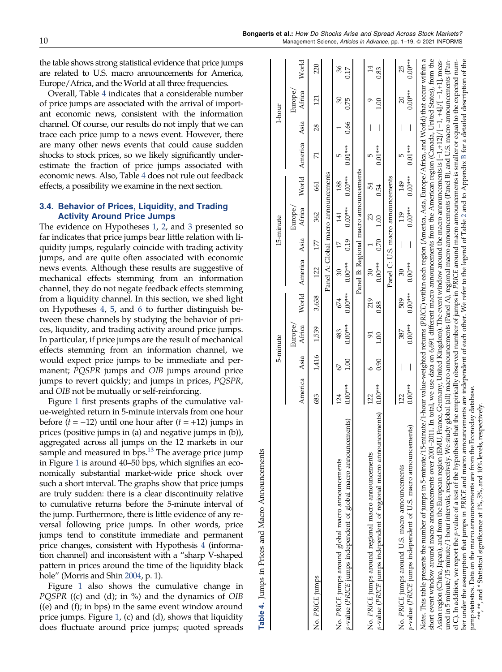<span id="page-10-0"></span>the table shows strong statistical evidence that price jumps are related to U.S. macro announcements for America, Europe/Africa, and the World at all three frequencies.

Overall, Table 4 indicates that a considerable number of price jumps are associated with the arrival of important economic news, consistent with the information channel. Of course, our results do not imply that we can trace each price jump to a news event. However, there are many other news events that could cause sudden shocks to stock prices, so we likely significantly underestimate the fraction of price jumps associated with economic news. Also, Table 4 does not rule out feedback effects, a possibility we examine in the next section.

## 3.4. Behavior of Prices, Liquidity, and Trading Activity Around Price Jumps

The evidence on Hypotheses [1](#page-4-0), [2](#page-4-0), and [3](#page-4-0) presented so far indicates that price jumps bear little relation with liquidity jumps, regularly coincide with trading activity jumps, and are quite often associated with economic news events. Although these results are suggestive of mechanical effects stemming from an information channel, they do not negate feedback effects stemming from a liquidity channel. In this section, we shed light on Hypotheses [4,](#page-4-0) [5](#page-4-0), and [6](#page-4-0) to further distinguish between these channels by studying the behavior of prices, liquidity, and trading activity around price jumps. In particular, if price jumps are the result of mechanical effects stemming from an information channel, we would expect price jumps to be immediate and permanent; PQSPR jumps and OIB jumps around price jumps to revert quickly; and jumps in prices, PQSPR, and OIB not be mutually or self-reinforcing.

Figure [1](#page-11-0) first presents graphs of the cumulative value-weighted return in 5-minute intervals from one hour before  $(t = -12)$  until one hour after  $(t = +12)$  jumps in prices (positive jumps in (a) and negative jumps in (b)), aggregated across all jumps on the 12 markets in our sample and measured in bps.<sup>13</sup> The average price jump in Figure [1](#page-11-0) is around 40–50 bps, which signifies an economically substantial market-wide price shock over such a short interval. The graphs show that price jumps are truly sudden: there is a clear discontinuity relative to cumulative returns before the 5-minute interval of the jump. Furthermore, there is little evidence of any reversal following price jumps. In other words, price jumps tend to constitute immediate and permanent price changes, consistent with Hypothesis [4](#page-4-0) (information channel) and inconsistent with a "sharp V-shaped pattern in prices around the time of the liquidity black hole" (Morris and Shin [2004,](#page-19-0) p. 1).

Table 4. Jumps in Prices and Macro Announcements

4 Table

Jumps in Prices and Macro Announcements

Figure [1](#page-11-0) also shows the cumulative change in *PQSPR* ((c) and (d); in  $\%$ ) and the dynamics of OIB ((e) and (f); in bps) in the same event window around price jumps. Figure [1](#page-11-0), (c) and (d), shows that liquidity does fluctuate around price jumps; quoted spreads

|                                                                                                                                                                                                                                                                                                                                                                                                                                                                                                                                                                                                                                                                                                                                                                                                                                                                                                                                                                                                                                                                                                                                                                                 |                  |                          | 5-minute         |                  |                    |                         | 15-minute                             |                  |                    |          | 1-hour          |                        |
|---------------------------------------------------------------------------------------------------------------------------------------------------------------------------------------------------------------------------------------------------------------------------------------------------------------------------------------------------------------------------------------------------------------------------------------------------------------------------------------------------------------------------------------------------------------------------------------------------------------------------------------------------------------------------------------------------------------------------------------------------------------------------------------------------------------------------------------------------------------------------------------------------------------------------------------------------------------------------------------------------------------------------------------------------------------------------------------------------------------------------------------------------------------------------------|------------------|--------------------------|------------------|------------------|--------------------|-------------------------|---------------------------------------|------------------|--------------------|----------|-----------------|------------------------|
|                                                                                                                                                                                                                                                                                                                                                                                                                                                                                                                                                                                                                                                                                                                                                                                                                                                                                                                                                                                                                                                                                                                                                                                 |                  |                          | Europe/          |                  |                    |                         | Europe/                               |                  |                    |          | Europe,         |                        |
|                                                                                                                                                                                                                                                                                                                                                                                                                                                                                                                                                                                                                                                                                                                                                                                                                                                                                                                                                                                                                                                                                                                                                                                 | America Asia     |                          | Africa           |                  | World America Asia |                         | Africa                                |                  | World America Asia |          | Africa          | World                  |
| No. PRICE jumps                                                                                                                                                                                                                                                                                                                                                                                                                                                                                                                                                                                                                                                                                                                                                                                                                                                                                                                                                                                                                                                                                                                                                                 | 683              | 1,416                    | 1,539            | 3,638            | 122                | 177                     | 362                                   | 661              | $\overline{7}$     | 28       | $\overline{21}$ | 220                    |
|                                                                                                                                                                                                                                                                                                                                                                                                                                                                                                                                                                                                                                                                                                                                                                                                                                                                                                                                                                                                                                                                                                                                                                                 |                  |                          |                  |                  |                    |                         | Panel A: Global macro announcements   |                  |                    |          |                 |                        |
| p-value (PRICE jumps independent of global macro announcements)<br>No. PRICE jumps around global macro announcements                                                                                                                                                                                                                                                                                                                                                                                                                                                                                                                                                                                                                                                                                                                                                                                                                                                                                                                                                                                                                                                            | $0.00***$<br>124 | 1.00<br>$\mathcal{Q}$    | $0.00***$<br>483 | $0.00***$<br>674 | $0.00***$<br>30    | 0.19<br>$\overline{17}$ | $0.00***$<br>$\overline{141}$         | $0.00***$<br>188 | $0.01***$<br>ю     | 0.66     | 30<br>0.75      | 36<br>0.17             |
|                                                                                                                                                                                                                                                                                                                                                                                                                                                                                                                                                                                                                                                                                                                                                                                                                                                                                                                                                                                                                                                                                                                                                                                 |                  |                          |                  |                  |                    |                         | Panel B: Regional macro announcements |                  |                    |          |                 |                        |
| p-value (PRICE jumps independent of regional macro announcements)<br>No. PRICE jumps around regional macro announcements                                                                                                                                                                                                                                                                                                                                                                                                                                                                                                                                                                                                                                                                                                                                                                                                                                                                                                                                                                                                                                                        | $0.00***$<br>122 | 0.90                     | 51<br>1.00       | 219<br>0.88      | $0.00***$<br>30    | 0.70                    | 23<br>1.00                            | 54<br>0.54       | $0.01***$<br>ю     |          | 00.1            | $\overline{1}$<br>0.83 |
|                                                                                                                                                                                                                                                                                                                                                                                                                                                                                                                                                                                                                                                                                                                                                                                                                                                                                                                                                                                                                                                                                                                                                                                 |                  |                          |                  |                  |                    |                         |                                       |                  |                    | $\bigg $ |                 |                        |
|                                                                                                                                                                                                                                                                                                                                                                                                                                                                                                                                                                                                                                                                                                                                                                                                                                                                                                                                                                                                                                                                                                                                                                                 |                  |                          |                  |                  |                    |                         | Panel C: U.S. macro announcements     |                  |                    |          |                 |                        |
| No. PRICE jumps around U.S. macro announcements                                                                                                                                                                                                                                                                                                                                                                                                                                                                                                                                                                                                                                                                                                                                                                                                                                                                                                                                                                                                                                                                                                                                 | 122              | I                        | 387              | 509              | $30\,$             | I                       | 119                                   | 149              | Б                  |          | $\overline{c}$  | 25                     |
| p-value (PRICE jumps independent of U.S. macro announcements)                                                                                                                                                                                                                                                                                                                                                                                                                                                                                                                                                                                                                                                                                                                                                                                                                                                                                                                                                                                                                                                                                                                   | $0.00***$        | $\overline{\phantom{a}}$ | $0.00***$        | $0.00***$        | $0.00***$          | $\bigg $                | $0.00***$                             | $0.00***$        | $0.01***$          | $\bigg $ | $0.00***$       | $0.00***$              |
| short event window around macro announcements over 2001-2011. In total, we use data on 6,691 different macro announcements from the American region (Canada, United States), from the<br>Asian region (China, Japan), and from the European region (EMU, France, Germany, United Kingdom). The event window around the macro announcements is $[-1,+12]/[-1,+12]$ , meas-<br>ured in 5-minute/15-minute/1-hour intervals, respectively. We study global (all) macro announcements (Panel A), regional macro announcements (Panel B), and U.S. macro announcements (Pan-<br>el C). In addition, we report the <i>p</i> -value of a test of the hypothesis that the empirically observed number of jumps in PRICE around macro announcements is smaller or equal to the expected num-<br>Notes. This table presents the number of jumps in 5-minute/15-minute/1-hour value-weighted returns (PRICE) within each region (America, Asia, Europe/Africa, and World) that occur within a<br>ber under the assumption that jumps in PRICE and macro announcements are independent of each other. We refer to the legend of Table 2 and to Appendix B for a detailed description of the |                  |                          |                  |                  |                    |                         |                                       |                  |                    |          |                 |                        |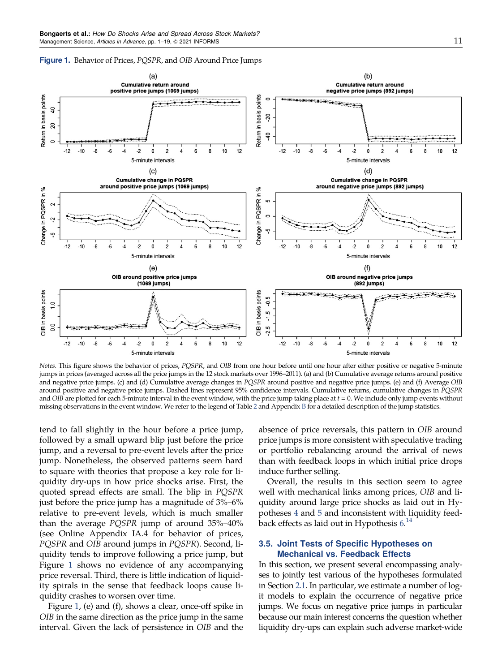

<span id="page-11-0"></span>Figure 1. Behavior of Prices, PQSPR, and OIB Around Price Jumps

Notes. This figure shows the behavior of prices, PQSPR, and OIB from one hour before until one hour after either positive or negative 5-minute jumps in prices (averaged across all the price jumps in the 12 stock markets over 1996–2011). (a) and (b) Cumulative average returns around positive and negative price jumps. (c) and (d) Cumulative average changes in PQSPR around positive and negative price jumps. (e) and (f) Average OIB around positive and negative price jumps. Dashed lines represent 95% confidence intervals. Cumulative returns, cumulative changes in PQSPR and *OIB* are plotted for each 5-minute interval in the event window, with the price jump taking place at  $t = 0$ . We include only jump events without missing observations in the event window. We refer to the legend of Table [2](#page-7-0) and Appendix [B](#page-16-0) for a detailed description of the jump statistics.

tend to fall slightly in the hour before a price jump, followed by a small upward blip just before the price jump, and a reversal to pre-event levels after the price jump. Nonetheless, the observed patterns seem hard to square with theories that propose a key role for liquidity dry-ups in how price shocks arise. First, the quoted spread effects are small. The blip in PQSPR just before the price jump has a magnitude of 3%–6% relative to pre-event levels, which is much smaller than the average PQSPR jump of around 35%–40% (see Online Appendix IA.4 for behavior of prices, PQSPR and OIB around jumps in PQSPR). Second, liquidity tends to improve following a price jump, but Figure 1 shows no evidence of any accompanying price reversal. Third, there is little indication of liquidity spirals in the sense that feedback loops cause liquidity crashes to worsen over time.

Figure 1, (e) and (f), shows a clear, once-off spike in OIB in the same direction as the price jump in the same interval. Given the lack of persistence in OIB and the absence of price reversals, this pattern in OIB around price jumps is more consistent with speculative trading or portfolio rebalancing around the arrival of news than with feedback loops in which initial price drops induce further selling.

Overall, the results in this section seem to agree well with mechanical links among prices, OIB and liquidity around large price shocks as laid out in Hypotheses [4](#page-4-0) and [5](#page-4-0) and inconsistent with liquidity feedback effects as laid out in Hypothesis  $6.^{14}$  $6.^{14}$  $6.^{14}$  $6.^{14}$ 

## 3.5. Joint Tests of Specific Hypotheses on Mechanical vs. Feedback Effects

In this section, we present several encompassing analyses to jointly test various of the hypotheses formulated in Section [2.1](#page-3-0). In particular, we estimate a number of logit models to explain the occurrence of negative price jumps. We focus on negative price jumps in particular because our main interest concerns the question whether liquidity dry-ups can explain such adverse market-wide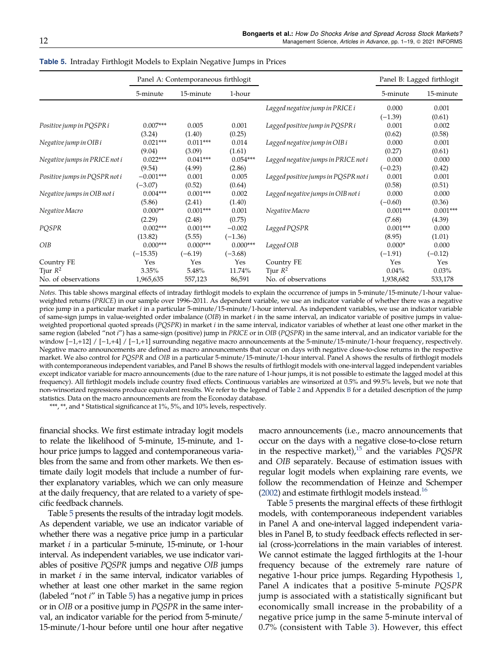|                               |             | Panel A: Contemporaneous firthlogit |            |                                      |            | Panel B: Lagged firthlogit |
|-------------------------------|-------------|-------------------------------------|------------|--------------------------------------|------------|----------------------------|
|                               | 5-minute    | 15-minute                           | 1-hour     |                                      | 5-minute   | 15-minute                  |
|                               |             |                                     |            | Lagged negative jump in PRICE i      | 0.000      | 0.001                      |
|                               |             |                                     |            |                                      | $(-1.39)$  | (0.61)                     |
| Positive jump in PQSPR i      | $0.007***$  | 0.005                               | 0.001      | Lagged positive jump in PQSPR i      | 0.001      | 0.002                      |
|                               | (3.24)      | (1.40)                              | (0.25)     |                                      | (0.62)     | (0.58)                     |
| Negative jump in OIB i        | $0.021***$  | $0.011***$                          | 0.014      | Lagged negative jump in OIB i        | 0.000      | 0.001                      |
|                               | (9.04)      | (3.09)                              | (1.61)     |                                      | (0.27)     | (0.61)                     |
| Negative jumps in PRICE not i | $0.022***$  | $0.041***$                          | $0.054***$ | Lagged negative jumps in PRICE not i | 0.000      | 0.000                      |
|                               | (9.54)      | (4.99)                              | (2.86)     |                                      | $(-0.23)$  | (0.42)                     |
| Positive jumps in PQSPR not i | $-0.001***$ | 0.001                               | 0.005      | Lagged positive jumps in PQSPR not i | 0.001      | 0.001                      |
|                               | $(-3.07)$   | (0.52)                              | (0.64)     |                                      | (0.58)     | (0.51)                     |
| Negative jumps in OIB not i   | $0.004***$  | $0.001***$                          | 0.002      | Lagged negative jumps in OIB not i   | 0.000      | 0.000                      |
|                               | (5.86)      | (2.41)                              | (1.40)     |                                      | $(-0.60)$  | (0.36)                     |
| Negative Macro                | $0.000**$   | $0.001***$                          | 0.001      | Negative Macro                       | $0.001***$ | $0.001***$                 |
|                               | (2.29)      | (2.48)                              | (0.75)     |                                      | (7.68)     | (4.39)                     |
| POSPR                         | $0.002***$  | $0.001***$                          | $-0.002$   | Lagged PQSPR                         | $0.001***$ | 0.000                      |
|                               | (13.82)     | (5.55)                              | $(-1.36)$  |                                      | (8.95)     | (1.01)                     |
| OIB                           | $0.000***$  | $0.000***$                          | $0.000***$ | Lagged OIB                           | $0.000*$   | 0.000                      |
|                               | $(-15.35)$  | $(-6.19)$                           | $(-3.68)$  |                                      | $(-1.91)$  | $(-0.12)$                  |
| Country FE                    | Yes         | Yes                                 | Yes        | Country FE                           | Yes        | Yes                        |
| Tjur $R^2$                    | $3.35\%$    | 5.48%                               | 11.74%     | Tjur $R^2$                           | $0.04\%$   | 0.03%                      |
| No. of observations           | 1,965,635   | 557,123                             | 86,591     | No. of observations                  | 1,938,682  | 533,178                    |

<span id="page-12-0"></span>Table 5. Intraday Firthlogit Models to Explain Negative Jumps in Prices

Notes. This table shows marginal effects of intraday firthlogit models to explain the occurrence of jumps in 5-minute/15-minute/1-hour valueweighted returns (PRICE) in our sample over 1996–2011. As dependent variable, we use an indicator variable of whether there was a negative price jump in a particular market *i* in a particular 5-minute/15-minute/1-hour interval. As independent variables, we use an indicator variable of same-sign jumps in value-weighted order imbalance (OIB) in market *i* in the same interval, an indicator variable of positive jumps in valueweighted proportional quoted spreads (PQSPR) in market *i* in the same interval, indicator variables of whether at least one other market in the same region (labeled "not i") has a same-sign (positive) jump in PRICE or in OIB (PQSPR) in the same interval, and an indicator variable for the window [−1,+12] / [−1,+4] / [−1,+1] surrounding negative macro announcements at the 5-minute/15-minute/1-hour frequency, respectively. Negative macro announcements are defined as macro announcements that occur on days with negative close-to-close returns in the respective market. We also control for PQSPR and OIB in a particular 5-minute/15-minute/1-hour interval. Panel A shows the results of firthlogit models with contemporaneous independent variables, and Panel B shows the results of firthlogit models with one-interval lagged independent variables except indicator variable for macro announcements (due to the rare nature of 1-hour jumps, it is not possible to estimate the lagged model at this frequency). All firthlogit models include country fixed effects. Continuous variables are winsorized at 0.5% and 99.5% levels, but we note that non-winsorized regressions produce equivalent results. We refer to the legend of Table [2](#page-7-0) and Appendix [B](#page-16-0) for a detailed description of the jump statistics. Data on the macro announcements are from the Econoday database.

\*\*\*, \*\*, and \* Statistical significance at 1%, 5%, and 10% levels, respectively.

financial shocks. We first estimate intraday logit models to relate the likelihood of 5-minute, 15-minute, and 1 hour price jumps to lagged and contemporaneous variables from the same and from other markets. We then estimate daily logit models that include a number of further explanatory variables, which we can only measure at the daily frequency, that are related to a variety of specific feedback channels.

Table 5 presents the results of the intraday logit models. As dependent variable, we use an indicator variable of whether there was a negative price jump in a particular market *i* in a particular 5-minute, 15-minute, or 1-hour interval. As independent variables, we use indicator variables of positive PQSPR jumps and negative OIB jumps in market i in the same interval, indicator variables of whether at least one other market in the same region (labeled "not i" in Table 5) has a negative jump in prices or in OIB or a positive jump in PQSPR in the same interval, an indicator variable for the period from 5-minute/ 15-minute/1-hour before until one hour after negative macro announcements (i.e., macro announcements that occur on the days with a negative close-to-close return in the respective market), $^{15}$  $^{15}$  $^{15}$  and the variables *PQSPR* and OIB separately. Because of estimation issues with regular logit models when explaining rare events, we follow the recommendation of Heinze and Schemper  $(2002)$  $(2002)$  and estimate firthlogit models instead.<sup>16</sup>

Table 5 presents the marginal effects of these firthlogit models, with contemporaneous independent variables in Panel A and one-interval lagged independent variables in Panel B, to study feedback effects reflected in serial (cross-)correlations in the main variables of interest. We cannot estimate the lagged firthlogits at the 1-hour frequency because of the extremely rare nature of negative 1-hour price jumps. Regarding Hypothesis [1](#page-4-0), Panel A indicates that a positive 5-minute PQSPR jump is associated with a statistically significant but economically small increase in the probability of a negative price jump in the same 5-minute interval of 0.7% (consistent with Table [3](#page-8-0)). However, this effect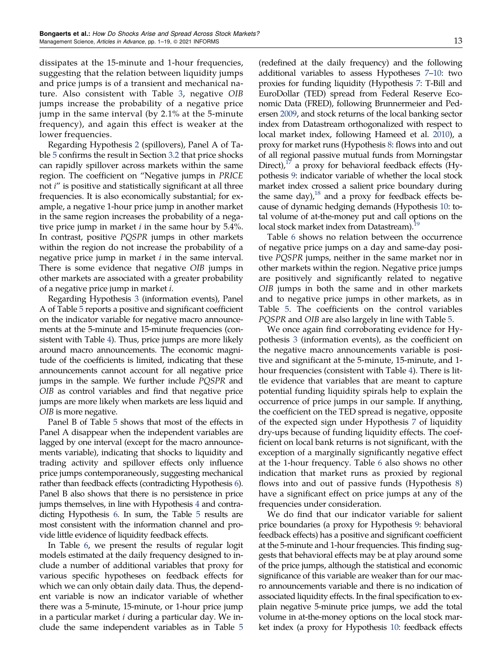dissipates at the 15-minute and 1-hour frequencies, suggesting that the relation between liquidity jumps and price jumps is of a transient and mechanical nature. Also consistent with Table [3](#page-8-0), negative OIB jumps increase the probability of a negative price jump in the same interval (by 2.1% at the 5-minute frequency), and again this effect is weaker at the lower frequencies.

Regarding Hypothesis [2](#page-4-0) (spillovers), Panel A of Table [5](#page-12-0) confirms the result in Section [3.2](#page-6-0) that price shocks can rapidly spillover across markets within the same region. The coefficient on "Negative jumps in PRICE not i" is positive and statistically significant at all three frequencies. It is also economically substantial; for example, a negative 1-hour price jump in another market in the same region increases the probability of a negative price jump in market  $i$  in the same hour by 5.4%. In contrast, positive PQSPR jumps in other markets within the region do not increase the probability of a negative price jump in market  $i$  in the same interval. There is some evidence that negative OIB jumps in other markets are associated with a greater probability of a negative price jump in market i.

Regarding Hypothesis [3](#page-4-0) (information events), Panel A of Table [5](#page-12-0) reports a positive and significant coefficient on the indicator variable for negative macro announcements at the 5-minute and 15-minute frequencies (consistent with Table [4\)](#page-10-0). Thus, price jumps are more likely around macro announcements. The economic magnitude of the coefficients is limited, indicating that these announcements cannot account for all negative price jumps in the sample. We further include PQSPR and OIB as control variables and find that negative price jumps are more likely when markets are less liquid and OIB is more negative.

Panel B of Table [5](#page-12-0) shows that most of the effects in Panel A disappear when the independent variables are lagged by one interval (except for the macro announcements variable), indicating that shocks to liquidity and trading activity and spillover effects only influence price jumps contemporaneously, suggesting mechanical rather than feedback effects (contradicting Hypothesis [6\)](#page-4-0). Panel B also shows that there is no persistence in price jumps themselves, in line with Hypothesis [4](#page-4-0) and contradicting Hypothesis [6.](#page-4-0) In sum, the Table [5](#page-12-0) results are most consistent with the information channel and provide little evidence of liquidity feedback effects.

In Table [6,](#page-14-0) we present the results of regular logit models estimated at the daily frequency designed to include a number of additional variables that proxy for various specific hypotheses on feedback effects for which we can only obtain daily data. Thus, the dependent variable is now an indicator variable of whether there was a 5-minute, 15-minute, or 1-hour price jump in a particular market i during a particular day. We include the same independent variables as in Table [5](#page-12-0)

(redefined at the daily frequency) and the following additional variables to assess Hypotheses [7](#page-4-0)–[10](#page-4-0): two proxies for funding liquidity (Hypothesis [7:](#page-4-0) T-Bill and EuroDollar (TED) spread from Federal Reserve Economic Data (FRED), following Brunnermeier and Pedersen [2009,](#page-18-0) and stock returns of the local banking sector index from Datastream orthogonalized with respect to local market index, following Hameed et al. [2010\)](#page-18-0), a proxy for market runs (Hypothesis [8:](#page-4-0) flows into and out of all regional passive mutual funds from Morningstar Direct), $17$  a proxy for behavioral feedback effects (Hypothesis [9](#page-4-0): indicator variable of whether the local stock market index crossed a salient price boundary during the same day), $^{18}$  and a proxy for feedback effects because of dynamic hedging demands (Hypothesis [10](#page-4-0): total volume of at-the-money put and call options on the local stock market index from Datastream).<sup>19</sup>

Table [6](#page-14-0) shows no relation between the occurrence of negative price jumps on a day and same-day positive PQSPR jumps, neither in the same market nor in other markets within the region. Negative price jumps are positively and significantly related to negative OIB jumps in both the same and in other markets and to negative price jumps in other markets, as in Table [5.](#page-12-0) The coefficients on the control variables PQSPR and OIB are also largely in line with Table [5.](#page-12-0)

We once again find corroborating evidence for Hypothesis [3](#page-4-0) (information events), as the coefficient on the negative macro announcements variable is positive and significant at the 5-minute, 15-minute, and 1 hour frequencies (consistent with Table [4](#page-10-0)). There is little evidence that variables that are meant to capture potential funding liquidity spirals help to explain the occurrence of price jumps in our sample. If anything, the coefficient on the TED spread is negative, opposite of the expected sign under Hypothesis [7](#page-4-0) of liquidity dry-ups because of funding liquidity effects. The coefficient on local bank returns is not significant, with the exception of a marginally significantly negative effect at the 1-hour frequency. Table [6](#page-14-0) also shows no other indication that market runs as proxied by regional flows into and out of passive funds (Hypothesis [8\)](#page-4-0) have a significant effect on price jumps at any of the frequencies under consideration.

We do find that our indicator variable for salient price boundaries (a proxy for Hypothesis [9:](#page-4-0) behavioral feedback effects) has a positive and significant coefficient at the 5-minute and 1-hour frequencies. This finding suggests that behavioral effects may be at play around some of the price jumps, although the statistical and economic significance of this variable are weaker than for our macro announcements variable and there is no indication of associated liquidity effects. In the final specification to explain negative 5-minute price jumps, we add the total volume in at-the-money options on the local stock market index (a proxy for Hypothesis [10](#page-4-0): feedback effects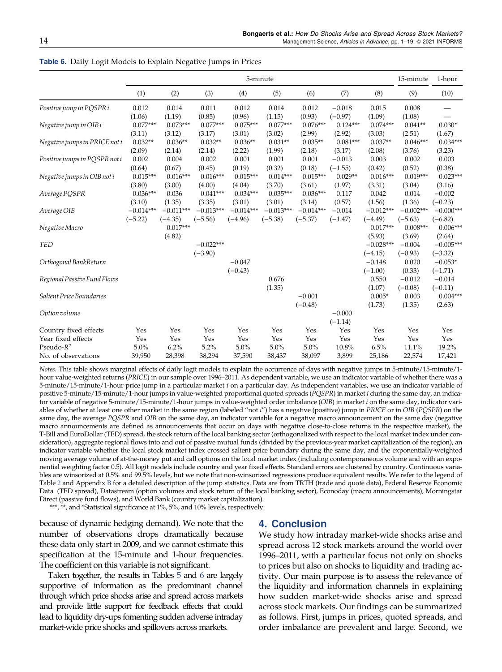|                               |             |             |             |             | 5-minute    |             |            |             | 15-minute   | 1-hour      |
|-------------------------------|-------------|-------------|-------------|-------------|-------------|-------------|------------|-------------|-------------|-------------|
|                               | (1)         | (2)         | (3)         | (4)         | (5)         | (6)         | (7)        | (8)         | (9)         | (10)        |
| Positive jump in PQSPR i      | 0.012       | 0.014       | 0.011       | 0.012       | 0.014       | 0.012       | $-0.018$   | 0.015       | 0.008       |             |
|                               | (1.06)      | (1.19)      | (0.85)      | (0.96)      | (1.15)      | (0.93)      | $(-0.97)$  | (1.09)      | (1.08)      |             |
| Negative jump in OIB i        | $0.077***$  | $0.073***$  | $0.077***$  | $0.075***$  | $0.077***$  | $0.076***$  | $0.124***$ | $0.074***$  | $0.041**$   | $0.030*$    |
|                               | (3.11)      | (3.12)      | (3.17)      | (3.01)      | (3.02)      | (2.99)      | (2.92)     | (3.03)      | (2.51)      | (1.67)      |
| Negative jumps in PRICE not i | $0.032**$   | $0.036**$   | $0.032**$   | $0.036**$   | $0.031**$   | $0.035**$   | $0.081***$ | $0.037**$   | $0.046***$  | $0.034***$  |
|                               | (2.09)      | (2.14)      | (2.14)      | (2.22)      | (1.99)      | (2.18)      | (3.17)     | (2.08)      | (3.76)      | (3.23)      |
| Positive jumps in POSPR not i | 0.002       | 0.004       | 0.002       | 0.001       | 0.001       | 0.001       | $-0.013$   | 0.003       | 0.002       | 0.003       |
|                               | (0.64)      | (0.67)      | (0.45)      | (0.19)      | (0.32)      | (0.18)      | $(-1.55)$  | (0.42)      | (0.52)      | (0.38)      |
| Negative jumps in OIB not i   | $0.015***$  | $0.016***$  | $0.016***$  | $0.015***$  | $0.014***$  | $0.015***$  | $0.029**$  | $0.016***$  | $0.019***$  | $0.023***$  |
|                               | (3.80)      | (3.00)      | (4.00)      | (4.04)      | (3.70)      | (3.61)      | (1.97)     | (3.31)      | (3.04)      | (3.16)      |
| Average PQSPR                 | $0.036***$  | 0.036       | $0.041***$  | $0.034***$  | $0.035***$  | $0.036***$  | 0.117      | 0.042       | 0.014       | $-0.002$    |
|                               | (3.10)      | (1.35)      | (3.35)      | (3.01)      | (3.01)      | (3.14)      | (0.57)     | (1.56)      | (1.36)      | $(-0.23)$   |
| Average OIB                   | $-0.014***$ | $-0.011***$ | $-0.013***$ | $-0.014***$ | $-0.013***$ | $-0.014***$ | $-0.014$   | $-0.012***$ | $-0.002***$ | $-0.000***$ |
|                               | $(-5.22)$   | $(-4.35)$   | $(-5.56)$   | $(-4.96)$   | $(-5.38)$   | $(-5.37)$   | $(-1.47)$  | $(-4.49)$   | $(-5.63)$   | $(-6.82)$   |
| Negative Macro                |             | $0.017***$  |             |             |             |             |            | $0.017***$  | $0.008***$  | $0.006***$  |
|                               |             | (4.82)      |             |             |             |             |            | (5.93)      | (3.69)      | (2.64)      |
| <b>TED</b>                    |             |             | $-0.022***$ |             |             |             |            | $-0.028***$ | $-0.004$    | $-0.005***$ |
|                               |             |             | $(-3.90)$   |             |             |             |            | $(-4.15)$   | $(-0.93)$   | $(-3.32)$   |
| Orthogonal BankReturn         |             |             |             | $-0.047$    |             |             |            | $-0.148$    | 0.020       | $-0.053*$   |
|                               |             |             |             | $(-0.43)$   |             |             |            | $(-1.00)$   | (0.33)      | $(-1.71)$   |
| Regional Passive Fund Flows   |             |             |             |             | 0.676       |             |            | 0.550       | $-0.012$    | $-0.014$    |
|                               |             |             |             |             | (1.35)      |             |            | (1.07)      | $(-0.08)$   | $(-0.11)$   |
| Salient Price Boundaries      |             |             |             |             |             | $-0.001$    |            | $0.005*$    | 0.003       | $0.004***$  |
|                               |             |             |             |             |             | $(-0.48)$   |            | (1.73)      | (1.35)      | (2.63)      |
| Option volume                 |             |             |             |             |             |             | $-0.000$   |             |             |             |
|                               |             |             |             |             |             |             | $(-1.14)$  |             |             |             |
| Country fixed effects         | Yes         | Yes         | Yes         | Yes         | Yes         | Yes         | Yes        | Yes         | Yes         | Yes         |
| Year fixed effects            | Yes         | Yes         | Yes         | Yes         | Yes         | Yes         | Yes        | Yes         | Yes         | Yes         |
| Pseudo- $R^2$                 | 5.0%        | 6.2%        | 5.2%        | 5.0%        | 5.0%        | 5.0%        | 10.8%      | 6.5%        | 11.1%       | 19.2%       |
| No. of observations           | 39,950      | 28,398      | 38,294      | 37,590      | 38,437      | 38,097      | 3,899      | 25,186      | 22,574      | 17,421      |

<span id="page-14-0"></span>Table 6. Daily Logit Models to Explain Negative Jumps in Prices

Notes. This table shows marginal effects of daily logit models to explain the occurrence of days with negative jumps in 5-minute/15-minute/1 hour value-weighted returns (PRICE) in our sample over 1996–2011. As dependent variable, we use an indicator variable of whether there was a 5-minute/15-minute/1-hour price jump in a particular market i on a particular day. As independent variables, we use an indicator variable of positive 5-minute/15-minute/1-hour jumps in value-weighted proportional quoted spreads (PQSPR) in market i during the same day, an indicator variable of negative 5-minute/15-minute/1-hour jumps in value-weighted order imbalance (OIB) in market i on the same day, indicator variables of whether at least one other market in the same region (labeled "not i") has a negative (positive) jump in PRICE or in OIB (PQSPR) on the same day, the average PQSPR and OIB on the same day, an indicator variable for a negative macro announcement on the same day (negative macro announcements are defined as announcements that occur on days with negative close-to-close returns in the respective market), the T-Bill and EuroDollar (TED) spread, the stock return of the local banking sector (orthogonalized with respect to the local market index under consideration), aggregate regional flows into and out of passive mutual funds (divided by the previous-year market capitalization of the region), an indicator variable whether the local stock market index crossed salient price boundary during the same day, and the exponentially-weighted moving average volume of at-the-money put and call options on the local market index (including contemporaneous volume and with an exponential weighting factor 0.5). All logit models include country and year fixed effects. Standard errors are clustered by country. Continuous variables are winsorized at 0.5% and 99.5% levels, but we note that non-winsorized regressions produce equivalent results. We refer to the legend of Table [2](#page-7-0) and Appendix [B](#page-16-0) for a detailed description of the jump statistics. Data are from TRTH (trade and quote data), Federal Reserve Economic Data (TED spread), Datastream (option volumes and stock return of the local banking sector), Econoday (macro announcements), Morningstar Direct (passive fund flows), and World Bank (country market capitalization).

\*\*\*, \*\*, and \*Statistical significance at 1%, 5%, and 10% levels, respectively.

because of dynamic hedging demand). We note that the number of observations drops dramatically because these data only start in 2009, and we cannot estimate this specification at the 15-minute and 1-hour frequencies. The coefficient on this variable is not significant.

Taken together, the results in Tables [5](#page-12-0) and 6 are largely supportive of information as the predominant channel through which price shocks arise and spread across markets and provide little support for feedback effects that could lead to liquidity dry-ups fomenting sudden adverse intraday market-wide price shocks and spillovers across markets.

# 4. Conclusion

We study how intraday market-wide shocks arise and spread across 12 stock markets around the world over 1996–2011, with a particular focus not only on shocks to prices but also on shocks to liquidity and trading activity. Our main purpose is to assess the relevance of the liquidity and information channels in explaining how sudden market-wide shocks arise and spread across stock markets. Our findings can be summarized as follows. First, jumps in prices, quoted spreads, and order imbalance are prevalent and large. Second, we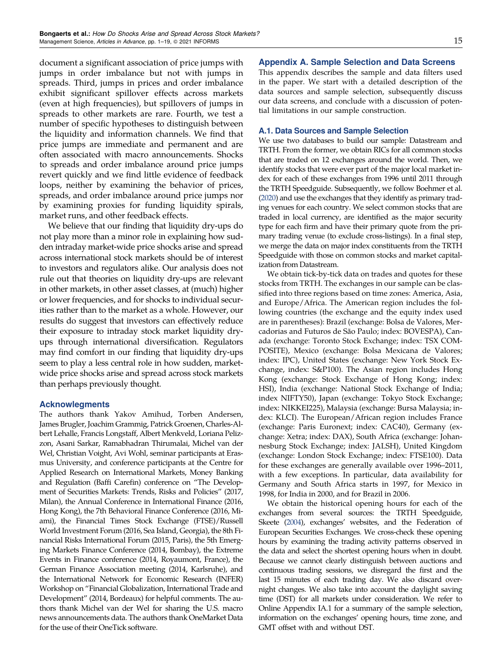<span id="page-15-0"></span>document a significant association of price jumps with jumps in order imbalance but not with jumps in spreads. Third, jumps in prices and order imbalance exhibit significant spillover effects across markets (even at high frequencies), but spillovers of jumps in spreads to other markets are rare. Fourth, we test a number of specific hypotheses to distinguish between the liquidity and information channels. We find that price jumps are immediate and permanent and are often associated with macro announcements. Shocks to spreads and order imbalance around price jumps revert quickly and we find little evidence of feedback loops, neither by examining the behavior of prices, spreads, and order imbalance around price jumps nor by examining proxies for funding liquidity spirals, market runs, and other feedback effects.

We believe that our finding that liquidity dry-ups do not play more than a minor role in explaining how sudden intraday market-wide price shocks arise and spread across international stock markets should be of interest to investors and regulators alike. Our analysis does not rule out that theories on liquidity dry-ups are relevant in other markets, in other asset classes, at (much) higher or lower frequencies, and for shocks to individual securities rather than to the market as a whole. However, our results do suggest that investors can effectively reduce their exposure to intraday stock market liquidity dryups through international diversification. Regulators may find comfort in our finding that liquidity dry-ups seem to play a less central role in how sudden, marketwide price shocks arise and spread across stock markets than perhaps previously thought.

#### Acknowlegments

The authors thank Yakov Amihud, Torben Andersen, James Brugler, Joachim Grammig, Patrick Groenen, Charles-Albert Lehalle, Francis Longstaff, Albert Menkveld, Loriana Pelizzon, Asani Sarkar, Ramabhadran Thirumalai, Michel van der Wel, Christian Voight, Avi Wohl, seminar participants at Erasmus University, and conference participants at the Centre for Applied Research on International Markets, Money Banking and Regulation (Baffi Carefin) conference on "The Development of Securities Markets: Trends, Risks and Policies" (2017, Milan), the Annual Conference in International Finance (2016, Hong Kong), the 7th Behavioral Finance Conference (2016, Miami), the Financial Times Stock Exchange (FTSE)/Russell World Investment Forum (2016, Sea Island, Georgia), the 8th Financial Risks International Forum (2015, Paris), the 5th Emerging Markets Finance Conference (2014, Bombay), the Extreme Events in Finance conference (2014, Royaumont, France), the German Finance Association meeting (2014, Karlsruhe), and the International Network for Economic Research (INFER) Workshop on "Financial Globalization, International Trade and Development" (2014, Bordeaux) for helpful comments. The authors thank Michel van der Wel for sharing the U.S. macro news announcements data. The authors thank OneMarket Data for the use of their OneTick software.

#### Appendix A. Sample Selection and Data Screens

This appendix describes the sample and data filters used in the paper. We start with a detailed description of the data sources and sample selection, subsequently discuss our data screens, and conclude with a discussion of potential limitations in our sample construction.

## A.1. Data Sources and Sample Selection

We use two databases to build our sample: Datastream and TRTH. From the former, we obtain RICs for all common stocks that are traded on 12 exchanges around the world. Then, we identify stocks that were ever part of the major local market index for each of these exchanges from 1996 until 2011 through the TRTH Speedguide. Subsequently, we follow Boehmer et al. [\(2020](#page-18-0)) and use the exchanges that they identify as primary trading venues for each country. We select common stocks that are traded in local currency, are identified as the major security type for each firm and have their primary quote from the primary trading venue (to exclude cross-listings). In a final step, we merge the data on major index constituents from the TRTH Speedguide with those on common stocks and market capitalization from Datastream.

We obtain tick-by-tick data on trades and quotes for these stocks from TRTH. The exchanges in our sample can be classified into three regions based on time zones: America, Asia, and Europe/Africa. The American region includes the following countries (the exchange and the equity index used are in parentheses): Brazil (exchange: Bolsa de Valores, Mercadorias and Futuros de São Paulo; index: BOVESPA), Canada (exchange: Toronto Stock Exchange; index: TSX COM-POSITE), Mexico (exchange: Bolsa Mexicana de Valores; index: IPC), United States (exchange: New York Stock Exchange, index: S&P100). The Asian region includes Hong Kong (exchange: Stock Exchange of Hong Kong; index: HSI), India (exchange: National Stock Exchange of India; index NIFTY50), Japan (exchange: Tokyo Stock Exchange; index: NIKKEI225), Malaysia (exchange: Bursa Malaysia; index: KLCI). The European/African region includes France (exchange: Paris Euronext; index: CAC40), Germany (exchange: Xetra; index: DAX), South Africa (exchange: Johannesburg Stock Exchange; index: JALSH), United Kingdom (exchange: London Stock Exchange; index: FTSE100). Data for these exchanges are generally available over 1996–2011, with a few exceptions. In particular, data availability for Germany and South Africa starts in 1997, for Mexico in 1998, for India in 2000, and for Brazil in 2006.

We obtain the historical opening hours for each of the exchanges from several sources: the TRTH Speedguide, Skeete [\(2004\)](#page-19-0), exchanges' websites, and the Federation of European Securities Exchanges. We cross-check these opening hours by examining the trading activity patterns observed in the data and select the shortest opening hours when in doubt. Because we cannot clearly distinguish between auctions and continuous trading sessions, we disregard the first and the last 15 minutes of each trading day. We also discard overnight changes. We also take into account the daylight saving time (DST) for all markets under consideration. We refer to Online Appendix IA.1 for a summary of the sample selection, information on the exchanges' opening hours, time zone, and GMT offset with and without DST.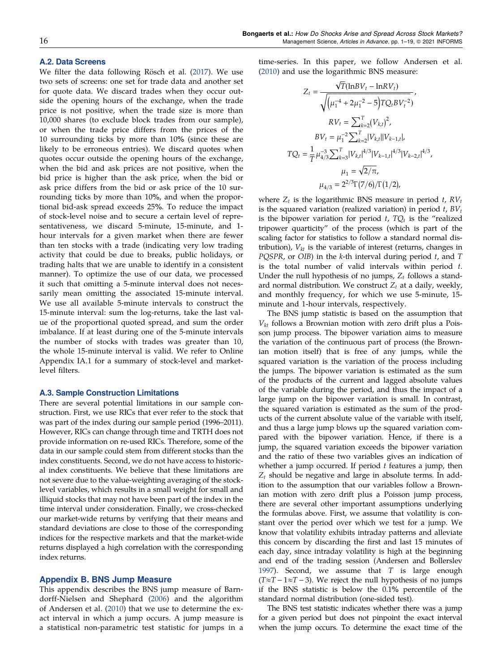#### <span id="page-16-0"></span>A.2. Data Screens

We filter the data following Rösch et al. ([2017\)](#page-19-0). We use two sets of screens: one set for trade data and another set for quote data. We discard trades when they occur outside the opening hours of the exchange, when the trade price is not positive, when the trade size is more than 10,000 shares (to exclude block trades from our sample), or when the trade price differs from the prices of the 10 surrounding ticks by more than 10% (since these are likely to be erroneous entries). We discard quotes when quotes occur outside the opening hours of the exchange, when the bid and ask prices are not positive, when the bid price is higher than the ask price, when the bid or ask price differs from the bid or ask price of the 10 surrounding ticks by more than 10%, and when the proportional bid-ask spread exceeds 25%. To reduce the impact of stock-level noise and to secure a certain level of representativeness, we discard 5-minute, 15-minute, and 1 hour intervals for a given market when there are fewer than ten stocks with a trade (indicating very low trading activity that could be due to breaks, public holidays, or trading halts that we are unable to identify in a consistent manner). To optimize the use of our data, we processed it such that omitting a 5-minute interval does not necessarily mean omitting the associated 15-minute interval. We use all available 5-minute intervals to construct the 15-minute interval: sum the log-returns, take the last value of the proportional quoted spread, and sum the order imbalance. If at least during one of the 5-minute intervals the number of stocks with trades was greater than 10, the whole 15-minute interval is valid. We refer to Online Appendix IA.1 for a summary of stock-level and marketlevel filters.

#### A.3. Sample Construction Limitations

There are several potential limitations in our sample construction. First, we use RICs that ever refer to the stock that was part of the index during our sample period (1996–2011). However, RICs can change through time and TRTH does not provide information on re-used RICs. Therefore, some of the data in our sample could stem from different stocks than the index constituents. Second, we do not have access to historical index constituents. We believe that these limitations are not severe due to the value-weighting averaging of the stocklevel variables, which results in a small weight for small and illiquid stocks that may not have been part of the index in the time interval under consideration. Finally, we cross-checked our market-wide returns by verifying that their means and standard deviations are close to those of the corresponding indices for the respective markets and that the market-wide returns displayed a high correlation with the corresponding index returns.

#### Appendix B. BNS Jump Measure

This appendix describes the BNS jump measure of Barndorff-Nielsen and Shephard ([2006](#page-18-0)) and the algorithm of Andersen et al. ([2010\)](#page-18-0) that we use to determine the exact interval in which a jump occurs. A jump measure is a statistical non-parametric test statistic for jumps in a time-series. In this paper, we follow Andersen et al. ([2010\)](#page-18-0) and use the logarithmic BNS measure:

$$
Z_{t} = \frac{\sqrt{T}(\ln BV_{t} - \ln RV_{t})}{\sqrt{(\mu_{1}^{-4} + 2\mu_{1}^{-2} - 5)TQ_{t}BV_{t}^{-2})}},
$$
\n
$$
RV_{t} = \sum_{k=2}^{T} (V_{k,t})^{2},
$$
\n
$$
BV_{t} = \mu_{1}^{-2} \sum_{k=2}^{T} |V_{k,t}| |V_{k-1,t}|,
$$
\n
$$
TQ_{t} = \frac{1}{T} \mu_{4/3}^{-3} \sum_{k=3}^{T} |V_{k,t}|^{4/3} |V_{k-1,t}|^{4/3} |V_{k-2,t}|^{4/3},
$$
\n
$$
\mu_{1} = \sqrt{2/\pi},
$$
\n
$$
\mu_{4/3} = 2^{2/3} \Gamma(7/6)/\Gamma(1/2),
$$

where  $Z_t$  is the logarithmic BNS measure in period  $t$ ,  $RV_t$ is the squared variation (realized variation) in period  $t$ ,  $BV_t$ is the bipower variation for period  $t$ ,  $TQ_t$  is the "realized tripower quarticity" of the process (which is part of the scaling factor for statistics to follow a standard normal distribution),  $V_{kt}$  is the variable of interest (returns, changes in PQSPR, or OIB) in the  $k$ -th interval during period  $t$ , and  $T$ is the total number of valid intervals within period  $t$ . Under the null hypothesis of no jumps,  $Z_t$  follows a standard normal distribution. We construct  $Z_t$  at a daily, weekly, and monthly frequency, for which we use 5-minute, 15 minute and 1-hour intervals, respectively.

The BNS jump statistic is based on the assumption that  $V_{kt}$  follows a Brownian motion with zero drift plus a Poisson jump process. The bipower variation aims to measure the variation of the continuous part of process (the Brownian motion itself) that is free of any jumps, while the squared variation is the variation of the process including the jumps. The bipower variation is estimated as the sum of the products of the current and lagged absolute values of the variable during the period, and thus the impact of a large jump on the bipower variation is small. In contrast, the squared variation is estimated as the sum of the products of the current absolute value of the variable with itself, and thus a large jump blows up the squared variation compared with the bipower variation. Hence, if there is a jump, the squared variation exceeds the bipower variation and the ratio of these two variables gives an indication of whether a jump occurred. If period  $t$  features a jump, then  $Z_t$  should be negative and large in absolute terms. In addition to the assumption that our variables follow a Brownian motion with zero drift plus a Poisson jump process, there are several other important assumptions underlying the formulas above. First, we assume that volatility is constant over the period over which we test for a jump. We know that volatility exhibits intraday patterns and alleviate this concern by discarding the first and last 15 minutes of each day, since intraday volatility is high at the beginning and end of the trading session (Andersen and Bollerslev [1997](#page-18-0)). Second, we assume that T is large enough  $(T \approx T - 1 \approx T - 3)$ . We reject the null hypothesis of no jumps if the BNS statistic is below the 0.1% percentile of the standard normal distribution (one-sided test).

The BNS test statistic indicates whether there was a jump for a given period but does not pinpoint the exact interval when the jump occurs. To determine the exact time of the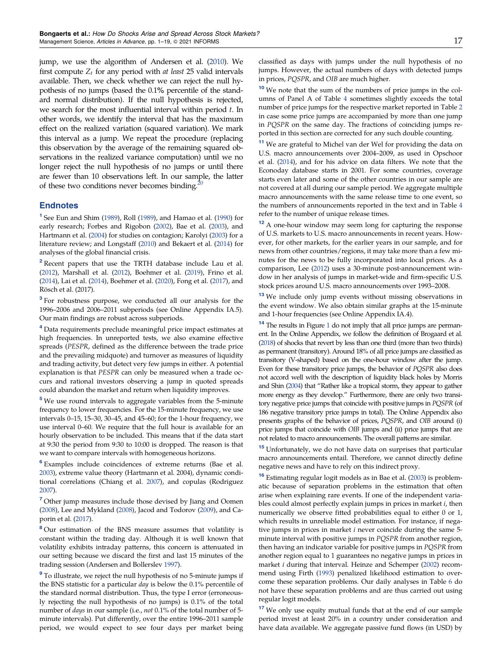<span id="page-17-0"></span>jump, we use the algorithm of Andersen et al. [\(2010](#page-18-0)). We first compute  $Z_t$  for any period with *at least* 25 valid intervals available. Then, we check whether we can reject the null hypothesis of no jumps (based the 0.1% percentile of the standard normal distribution). If the null hypothesis is rejected, we search for the most influential interval within period  $t$ . In other words, we identify the interval that has the maximum effect on the realized variation (squared variation). We mark this interval as a jump. We repeat the procedure (replacing this observation by the average of the remaining squared observations in the realized variance computation) until we no longer reject the null hypothesis of no jumps or until there are fewer than 10 observations left. In our sample, the latter of these two conditions never becomes binding.<sup>2</sup>

#### **Endnotes**

<sup>1</sup> See Eun and Shim [\(1989\)](#page-18-0), Roll [\(1989](#page-19-0)), and Hamao et al. ([1990](#page-18-0)) for early research; Forbes and Rigobon ([2002](#page-18-0)), Bae et al. [\(2003\)](#page-18-0), and Hartmann et al. [\(2004\)](#page-18-0) for studies on contagion; Karolyi ([2003](#page-18-0)) for a literature review; and Longstaff ([2010\)](#page-19-0) and Bekaert et al. [\(2014](#page-18-0)) for analyses of the global financial crisis.

<sup>2</sup> Recent papers that use the TRTH database include Lau et al. ([2012](#page-18-0)), Marshall et al. [\(2012\)](#page-19-0), Boehmer et al. ([2019\)](#page-18-0), Frino et al. ([2014](#page-18-0)), Lai et al. ([2014\)](#page-18-0), Boehmer et al. ([2020](#page-18-0)), Fong et al. ([2017](#page-18-0)), and Rösch et al. (2017).

<sup>3</sup> For robustness purpose, we conducted all our analysis for the 1996–2006 and 2006–2011 subperiods (see Online Appendix IA.5). Our main findings are robust across subperiods.

<sup>4</sup> Data requirements preclude meaningful price impact estimates at high frequencies. In unreported tests, we also examine effective spreads (PESPR, defined as the difference between the trade price and the prevailing midquote) and turnover as measures of liquidity and trading activity, but detect very few jumps in either. A potential explanation is that PESPR can only be measured when a trade occurs and rational investors observing a jump in quoted spreads could abandon the market and return when liquidity improves.

<sup>5</sup> We use round intervals to aggregate variables from the 5-minute frequency to lower frequencies. For the 15-minute frequency, we use intervals 0–15, 15–30, 30–45, and 45–60; for the 1-hour frequency, we use interval 0–60. We require that the full hour is available for an hourly observation to be included. This means that if the data start at 9:30 the period from 9:30 to 10:00 is dropped. The reason is that we want to compare intervals with homogeneous horizons.

<sup>6</sup> Examples include coincidences of extreme returns (Bae et al. [2003\)](#page-18-0), extreme value theory (Hartmann et al. 2004), dynamic conditional correlations (Chiang et al. [2007\)](#page-18-0), and copulas (Rodriguez [2007\)](#page-19-0).

<sup>7</sup> Other jump measures include those devised by Jiang and Oomen ([2008](#page-18-0)), Lee and Mykland [\(2008](#page-19-0)), Jacod and Todorov [\(2009\)](#page-18-0), and Caporin et al. [\(2017\)](#page-18-0).

<sup>8</sup> Our estimation of the BNS measure assumes that volatility is constant within the trading day. Although it is well known that volatility exhibits intraday patterns, this concern is attenuated in our setting because we discard the first and last 15 minutes of the trading session (Andersen and Bollerslev [1997](#page-18-0)).

<sup>9</sup> To illustrate, we reject the null hypothesis of no 5-minute jumps if the BNS statistic for a particular day is below the 0.1% percentile of the standard normal distribution. Thus, the type I error (erroneously rejecting the null hypothesis of no jumps) is 0.1% of the total number of days in our sample (i.e., not 0.1% of the total number of 5 minute intervals). Put differently, over the entire 1996–2011 sample period, we would expect to see four days per market being classified as days with jumps under the null hypothesis of no jumps. However, the actual numbers of days with detected jumps in prices, PQSPR, and OIB are much higher.

 $10$  We note that the sum of the numbers of price jumps in the columns of Panel A of Table [4](#page-10-0) sometimes slightly exceeds the total number of price jumps for the respective market reported in Table [2](#page-7-0) in case some price jumps are accompanied by more than one jump in PQSPR on the same day. The fractions of coinciding jumps reported in this section are corrected for any such double counting.

<sup>11</sup> We are grateful to Michel van der Wel for providing the data on U.S. macro announcements over 2004–2009, as used in Opschoor et al. ([2014](#page-19-0)), and for his advice on data filters. We note that the Econoday database starts in 2001. For some countries, coverage starts even later and some of the other countries in our sample are not covered at all during our sample period. We aggregate multiple macro announcements with the same release time to one event, so the numbers of announcements reported in the text and in Table [4](#page-10-0) refer to the number of unique release times.

<sup>12</sup> A one-hour window may seem long for capturing the response of U.S. markets to U.S. macro announcements in recent years. However, for other markets, for the earlier years in our sample, and for news from other countries/regions, it may take more than a few minutes for the news to be fully incorporated into local prices. As a comparison, Lee [\(2012](#page-19-0)) uses a 30-minute post-announcement window in her analysis of jumps in market-wide and firm-specific U.S. stock prices around U.S. macro announcements over 1993–2008.

<sup>13</sup> We include only jump events without missing observations in the event window. We also obtain similar graphs at the 15-minute and 1-hour frequencies (see Online Appendix IA.4).

<sup>[1](#page-11-0)4</sup> The results in Figure 1 do not imply that all price jumps are permanent. In the Online Appendix, we follow the definition of Brogaard et al. [\(2018\)](#page-18-0) of shocks that revert by less than one third (more than two thirds) as permanent (transitory). Around 18% of all price jumps are classified as transitory (V-shaped) based on the one-hour window after the jump. Even for these transitory price jumps, the behavior of PQSPR also does not accord well with the description of liquidity black holes by Morris and Shin ([2004](#page-19-0)) that "Rather like a tropical storm, they appear to gather more energy as they develop." Furthermore, there are only two transitory negative price jumps that coincide with positive jumps in PQSPR (of 186 negative transitory price jumps in total). The Online Appendix also presents graphs of the behavior of prices, PQSPR, and OIB around (i) price jumps that coincide with OIB jumps and (ii) price jumps that are not related to macro announcements. The overall patterns are similar.

<sup>15</sup> Unfortunately, we do not have data on surprises that particular macro announcements entail. Therefore, we cannot directly define negative news and have to rely on this indirect proxy.

 $16$  Estimating regular logit models as in Bae et al. [\(2003](#page-18-0)) is problematic because of separation problems in the estimation that often arise when explaining rare events. If one of the independent variables could almost perfectly explain jumps in prices in market i, then numerically we observe fitted probabilities equal to either 0 or 1, which results in unreliable model estimation. For instance, if negative jumps in prices in market i never coincide during the same 5 minute interval with positive jumps in PQSPR from another region, then having an indicator variable for positive jumps in PQSPR from another region equal to 1 guarantees no negative jumps in prices in market i during that interval. Heinze and Schemper [\(2002](#page-18-0)) recommend using Firth [\(1993](#page-18-0)) penalized likelihood estimation to overcome these separation problems. Our daily analyses in Table [6](#page-14-0) do not have these separation problems and are thus carried out using regular logit models.

<sup>17</sup> We only use equity mutual funds that at the end of our sample period invest at least 20% in a country under consideration and have data available. We aggregate passive fund flows (in USD) by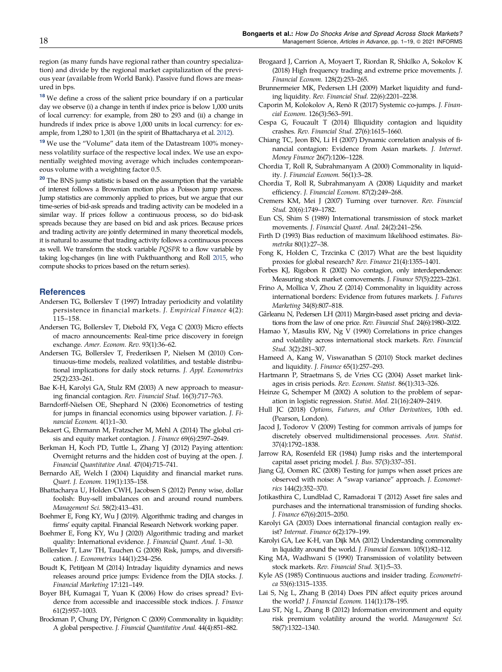<span id="page-18-0"></span>region (as many funds have regional rather than country specialization) and divide by the regional market capitalization of the previous year (available from World Bank). Passive fund flows are measured in bps.

<sup>18</sup> We define a cross of the salient price boundary if on a particular day we observe (i) a change in tenth if index price is below 1,000 units of local currency: for example, from 280 to 293 and (ii) a change in hundreds if index price is above 1,000 units in local currency: for example, from 1,280 to 1,301 (in the spirit of Bhattacharya et al. 2012).

<sup>19</sup> We use the "Volume" data item of the Datastream 100% moneyness volatility surface of the respective local index. We use an exponentially weighted moving average which includes contemporaneous volume with a weighting factor 0.5.

<sup>20</sup> The BNS jump statistic is based on the assumption that the variable of interest follows a Brownian motion plus a Poisson jump process. Jump statistics are commonly applied to prices, but we argue that our time-series of bid-ask spreads and trading activity can be modeled in a similar way. If prices follow a continuous process, so do bid-ask spreads because they are based on bid and ask prices. Because prices and trading activity are jointly determined in many theoretical models, it is natural to assume that trading activity follows a continuous process as well. We transform the stock variable PQSPR to a flow variable by taking log-changes (in line with Pukthuanthong and Roll [2015](#page-19-0), who compute shocks to prices based on the return series).

#### **References**

- Andersen TG, Bollerslev T (1997) Intraday periodicity and volatility persistence in financial markets. J. Empirical Finance 4(2): 115–158.
- Andersen TG, Bollerslev T, Diebold FX, Vega C (2003) Micro effects of macro announcements: Real-time price discovery in foreign exchange. Amer. Econom. Rev. 93(1):36–62.
- Andersen TG, Bollerslev T, Frederiksen P, Nielsen M (2010) Continuous-time models, realized volatilities, and testable distributional implications for daily stock returns. J. Appl. Econometrics 25(2):233–261.
- Bae K-H, Karolyi GA, Stulz RM (2003) A new approach to measuring financial contagion. Rev. Financial Stud. 16(3):717–763.
- Barndorff-Nielsen OE, Shephard N (2006) Econometrics of testing for jumps in financial economics using bipower variation. J. Financial Econom. 4(1):1–30.
- Bekaert G, Ehrmann M, Fratzscher M, Mehl A (2014) The global crisis and equity market contagion. J. Finance 69(6):2597–2649.
- Berkman H, Koch PD, Tuttle L, Zhang YJ (2012) Paying attention: Overnight returns and the hidden cost of buying at the open. J. Financial Quantitative Anal. 47(04):715–741.
- Bernardo AE, Welch I (2004) Liquidity and financial market runs. Quart. J. Econom. 119(1):135–158.
- Bhattacharya U, Holden CWH, Jacobsen S (2012) Penny wise, dollar foolish: Buy-sell imbalances on and around round numbers. Management Sci. 58(2):413–431.
- Boehmer E, Fong KY, Wu J (2019). Algorithmic trading and changes in firms' equity capital. Financial Research Network working paper.
- Boehmer E, Fong KY, Wu J (2020) Algorithmic trading and market quality: International evidence. J. Financial Quant. Anal. 1–30.
- Bollerslev T, Law TH, Tauchen G (2008) Risk, jumps, and diversification. J. Econometrics 144(1):234–256.
- Boudt K, Petitjean M (2014) Intraday liquidity dynamics and news releases around price jumps: Evidence from the DJIA stocks. J. Financial Marketing 17:121–149.
- Boyer BH, Kumagai T, Yuan K (2006) How do crises spread? Evidence from accessible and inaccessible stock indices. J. Finance 61(2):957–1003.
- Brockman P, Chung DY, Pérignon C (2009) Commonality in liquidity: A global perspective. J. Financial Quantitative Anal. 44(4):851–882.
- Brogaard J, Carrion A, Moyaert T, Riordan R, Shkilko A, Sokolov K (2018) High frequency trading and extreme price movements. J. Financial Econom. 128(2):253–265.
- Brunnermeier MK, Pedersen LH (2009) Market liquidity and funding liquidity. Rev. Financial Stud. 22(6):2201–2238.
- Caporin M, Kolokolov A, Renò R (2017) Systemic co-jumps. J. Financial Econom. 126(3):563–591.
- Cespa G, Foucault T (2014) Illiquidity contagion and liquidity crashes. Rev. Financial Stud. 27(6):1615–1660.
- Chiang TC, Jeon BN, Li H (2007) Dynamic correlation analysis of financial contagion: Evidence from Asian markets. J. Internet. Money Finance 26(7):1206–1228.
- Chordia T, Roll R, Subrahmanyam A (2000) Commonality in liquidity. J. Financial Econom. 56(1):3–28.
- Chordia T, Roll R, Subrahmanyam A (2008) Liquidity and market efficiency. J. Financial Econom. 87(2):249–268.
- Cremers KM, Mei J (2007) Turning over turnover. Rev. Financial Stud. 20(6):1749–1782.
- Eun CS, Shim S (1989) International transmission of stock market movements. J. Financial Quant. Anal. 24(2):241–256.
- Firth D (1993) Bias reduction of maximum likelihood estimates. Biometrika 80(1):27–38.
- Fong K, Holden C, Trzcinka C (2017) What are the best liquidity proxies for global research? Rev. Finance 21(4):1355–1401.
- Forbes KJ, Rigobon R (2002) No contagion, only interdependence: Measuring stock market comovements. J. Finance 57(5):2223–2261.
- Frino A, Mollica V, Zhou Z (2014) Commonality in liquidity across international borders: Evidence from futures markets. J. Futures Marketing 34(8):807–818.
- Gârleanu N, Pedersen LH (2011) Margin-based asset pricing and deviations from the law of one price. Rev. Financial Stud. 24(6):1980–2022.
- Hamao Y, Masulis RW, Ng V (1990) Correlations in price changes and volatility across international stock markets. Rev. Financial Stud. 3(2):281–307.
- Hameed A, Kang W, Viswanathan S (2010) Stock market declines and liquidity. J. Finance 65(1):257–293.
- Hartmann P, Straetmans S, de Vries CG (2004) Asset market linkages in crisis periods. Rev. Econom. Statist. 86(1):313–326.
- Heinze G, Schemper M (2002) A solution to the problem of separation in logistic regression. Statist. Med. 21(16):2409–2419.
- Hull JC (2018) Options, Futures, and Other Derivatives, 10th ed. (Pearson, London).
- Jacod J, Todorov V (2009) Testing for common arrivals of jumps for discretely observed multidimensional processes. Ann. Statist. 37(4):1792–1838.
- Jarrow RA, Rosenfeld ER (1984) Jump risks and the intertemporal capital asset pricing model. J. Bus. 57(3):337–351.
- Jiang GJ, Oomen RC (2008) Testing for jumps when asset prices are observed with noise: A "swap variance" approach. J. Econometrics 144(2):352–370.
- Jotikasthira C, Lundblad C, Ramadorai T (2012) Asset fire sales and purchases and the international transmission of funding shocks. J. Finance 67(6):2015–2050.
- Karolyi GA (2003) Does international financial contagion really exist? Internat. Finance 6(2):179–199.
- Karolyi GA, Lee K-H, van Dijk MA (2012) Understanding commonality in liquidity around the world. J. Financial Econom. 105(1):82–112.
- King MA, Wadhwani S (1990) Transmission of volatility between stock markets. Rev. Financial Stud. 3(1):5–33.
- Kyle AS (1985) Continuous auctions and insider trading. Econometrica 53(6):1315–1335.
- Lai S, Ng L, Zhang B (2014) Does PIN affect equity prices around the world? J. Financial Econom. 114(1):178–195.
- Lau ST, Ng L, Zhang B (2012) Information environment and equity risk premium volatility around the world. Management Sci. 58(7):1322–1340.